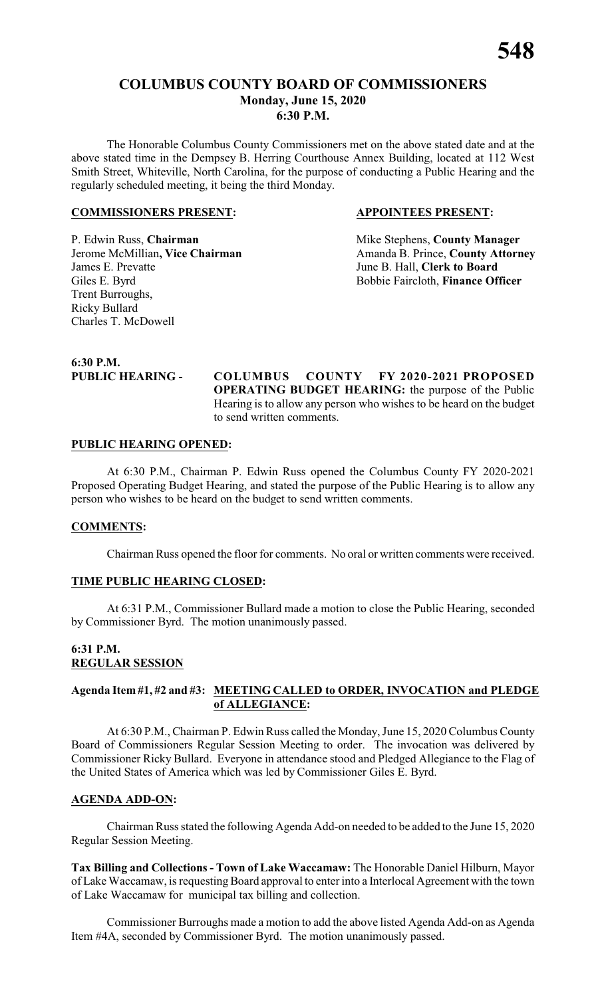The Honorable Columbus County Commissioners met on the above stated date and at the above stated time in the Dempsey B. Herring Courthouse Annex Building, located at 112 West Smith Street, Whiteville, North Carolina, for the purpose of conducting a Public Hearing and the regularly scheduled meeting, it being the third Monday.

#### **COMMISSIONERS PRESENT: APPOINTEES PRESENT:**

Jerome McMillian, Vice Chairman James E. Prevatte June B. Hall, **Clerk to Board** Giles E. Byrd Bobbie Faircloth, **Finance Officer** Trent Burroughs, Ricky Bullard Charles T. McDowell

P. Edwin Russ, **Chairman** Mike Stephens, **County Manager**<br>
Jerome McMillian, Vice Chairman Manager Amanda B. Prince, County Attorney

**6:30 P.M.**

**PUBLIC HEARING - COLUMBUS COUNTY FY 2020-2021 PROPOSED OPERATING BUDGET HEARING:** the purpose of the Public Hearing is to allow any person who wishes to be heard on the budget to send written comments.

#### **PUBLIC HEARING OPENED:**

At 6:30 P.M., Chairman P. Edwin Russ opened the Columbus County FY 2020-2021 Proposed Operating Budget Hearing, and stated the purpose of the Public Hearing is to allow any person who wishes to be heard on the budget to send written comments.

#### **COMMENTS:**

Chairman Russ opened the floor for comments. No oral or written comments were received.

# **TIME PUBLIC HEARING CLOSED:**

At 6:31 P.M., Commissioner Bullard made a motion to close the Public Hearing, seconded by Commissioner Byrd. The motion unanimously passed.

# **6:31 P.M. REGULAR SESSION**

# **Agenda Item #1, #2 and #3: MEETING CALLED to ORDER, INVOCATION and PLEDGE of ALLEGIANCE:**

At 6:30 P.M., Chairman P. Edwin Russ called the Monday, June 15, 2020 Columbus County Board of Commissioners Regular Session Meeting to order. The invocation was delivered by Commissioner Ricky Bullard. Everyone in attendance stood and Pledged Allegiance to the Flag of the United States of America which was led by Commissioner Giles E. Byrd.

#### **AGENDA ADD-ON:**

Chairman Russ stated the following Agenda Add-on needed to be added to the June 15, 2020 Regular Session Meeting.

**Tax Billing and Collections - Town of Lake Waccamaw:** The Honorable Daniel Hilburn, Mayor of Lake Waccamaw, is requesting Board approval to enter into a Interlocal Agreement with the town of Lake Waccamaw for municipal tax billing and collection.

Commissioner Burroughs made a motion to add the above listed Agenda Add-on as Agenda Item #4A, seconded by Commissioner Byrd. The motion unanimously passed.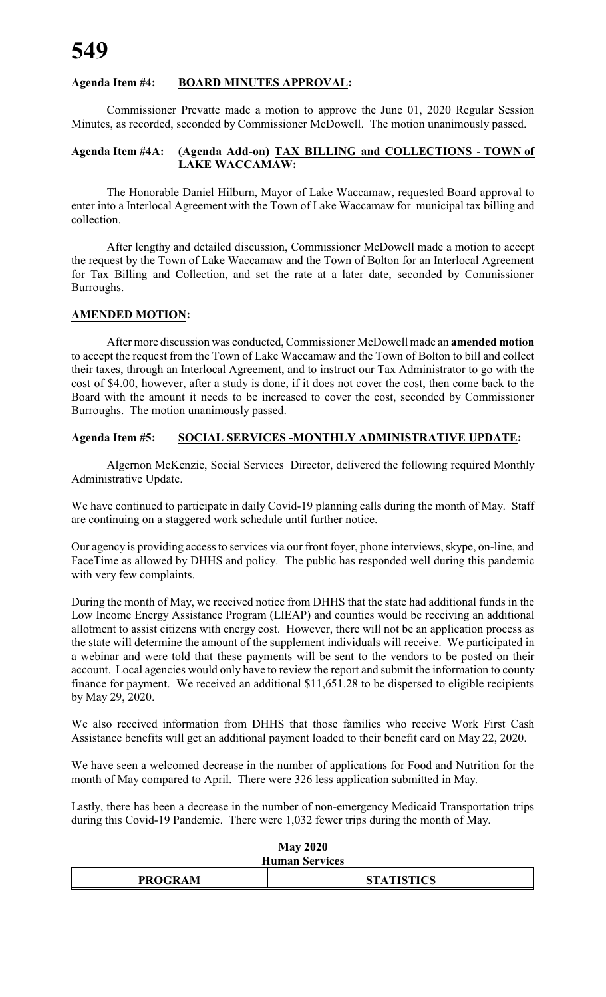# **Agenda Item #4: BOARD MINUTES APPROVAL:**

Commissioner Prevatte made a motion to approve the June 01, 2020 Regular Session Minutes, as recorded, seconded by Commissioner McDowell. The motion unanimously passed.

# **Agenda Item #4A: (Agenda Add-on) TAX BILLING and COLLECTIONS - TOWN of LAKE WACCAMAW:**

The Honorable Daniel Hilburn, Mayor of Lake Waccamaw, requested Board approval to enter into a Interlocal Agreement with the Town of Lake Waccamaw for municipal tax billing and collection.

After lengthy and detailed discussion, Commissioner McDowell made a motion to accept the request by the Town of Lake Waccamaw and the Town of Bolton for an Interlocal Agreement for Tax Billing and Collection, and set the rate at a later date, seconded by Commissioner Burroughs.

#### **AMENDED MOTION:**

After more discussion was conducted, Commissioner McDowell made an **amended motion** to accept the request from the Town of Lake Waccamaw and the Town of Bolton to bill and collect their taxes, through an Interlocal Agreement, and to instruct our Tax Administrator to go with the cost of \$4.00, however, after a study is done, if it does not cover the cost, then come back to the Board with the amount it needs to be increased to cover the cost, seconded by Commissioner Burroughs. The motion unanimously passed.

#### **Agenda Item #5: SOCIAL SERVICES -MONTHLY ADMINISTRATIVE UPDATE:**

Algernon McKenzie, Social Services Director, delivered the following required Monthly Administrative Update.

We have continued to participate in daily Covid-19 planning calls during the month of May. Staff are continuing on a staggered work schedule until further notice.

Our agency is providing access to services via our front foyer, phone interviews, skype, on-line, and FaceTime as allowed by DHHS and policy. The public has responded well during this pandemic with very few complaints.

During the month of May, we received notice from DHHS that the state had additional funds in the Low Income Energy Assistance Program (LIEAP) and counties would be receiving an additional allotment to assist citizens with energy cost. However, there will not be an application process as the state will determine the amount of the supplement individuals will receive. We participated in a webinar and were told that these payments will be sent to the vendors to be posted on their account. Local agencies would only have to review the report and submit the information to county finance for payment. We received an additional \$11,651.28 to be dispersed to eligible recipients by May 29, 2020.

We also received information from DHHS that those families who receive Work First Cash Assistance benefits will get an additional payment loaded to their benefit card on May 22, 2020.

We have seen a welcomed decrease in the number of applications for Food and Nutrition for the month of May compared to April. There were 326 less application submitted in May.

Lastly, there has been a decrease in the number of non-emergency Medicaid Transportation trips during this Covid-19 Pandemic. There were 1,032 fewer trips during the month of May.

| NIAV 2020<br><b>Human Services</b>  |  |  |  |  |
|-------------------------------------|--|--|--|--|
| <b>PROGRAM</b><br><b>STATISTICS</b> |  |  |  |  |

 $M = 2020$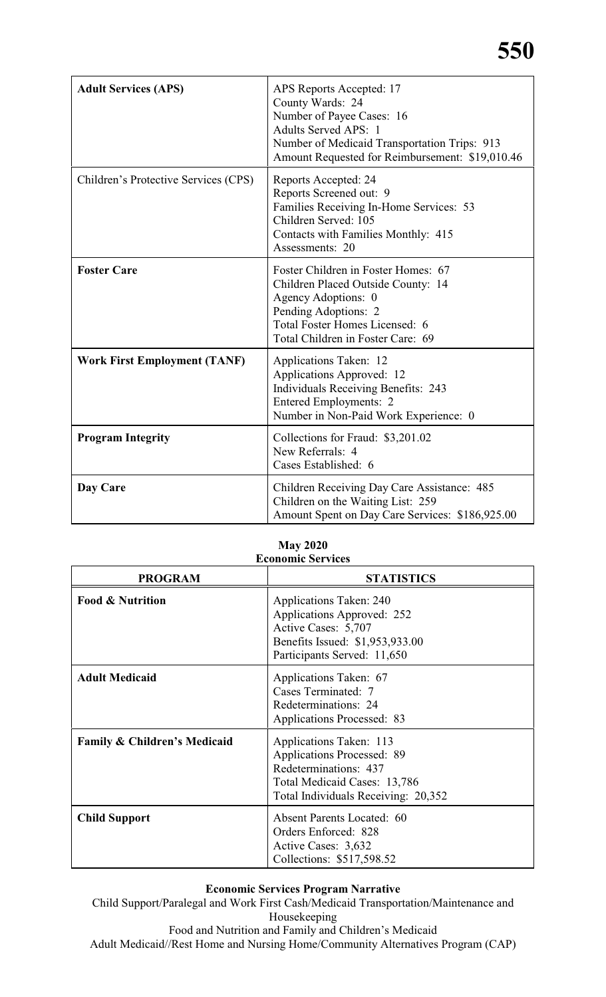# **550**

| <b>Adult Services (APS)</b>          | APS Reports Accepted: 17<br>County Wards: 24<br>Number of Payee Cases: 16<br><b>Adults Served APS: 1</b><br>Number of Medicaid Transportation Trips: 913<br>Amount Requested for Reimbursement: \$19,010.46 |
|--------------------------------------|-------------------------------------------------------------------------------------------------------------------------------------------------------------------------------------------------------------|
| Children's Protective Services (CPS) | Reports Accepted: 24<br>Reports Screened out: 9<br>Families Receiving In-Home Services: 53<br>Children Served: 105<br>Contacts with Families Monthly: 415<br>Assessments: 20                                |
| <b>Foster Care</b>                   | Foster Children in Foster Homes: 67<br>Children Placed Outside County: 14<br>Agency Adoptions: 0<br>Pending Adoptions: 2<br>Total Foster Homes Licensed: 6<br>Total Children in Foster Care: 69             |
| <b>Work First Employment (TANF)</b>  | Applications Taken: 12<br>Applications Approved: 12<br><b>Individuals Receiving Benefits: 243</b><br>Entered Employments: 2<br>Number in Non-Paid Work Experience: 0                                        |
| <b>Program Integrity</b>             | Collections for Fraud: \$3,201.02<br>New Referrals: 4<br>Cases Established: 6                                                                                                                               |
| Day Care                             | Children Receiving Day Care Assistance: 485<br>Children on the Waiting List: 259<br>Amount Spent on Day Care Services: \$186,925.00                                                                         |

#### **May 2020 Economic Services**

| <b>PROGRAM</b>                          | <b>STATISTICS</b>                                                                                                                                            |
|-----------------------------------------|--------------------------------------------------------------------------------------------------------------------------------------------------------------|
| <b>Food &amp; Nutrition</b>             | <b>Applications Taken: 240</b><br>Applications Approved: 252<br>Active Cases: 5,707<br>Benefits Issued: \$1,953,933.00<br>Participants Served: 11,650        |
| <b>Adult Medicaid</b>                   | Applications Taken: 67<br>Cases Terminated: 7<br>Redeterminations: 24<br><b>Applications Processed: 83</b>                                                   |
| <b>Family &amp; Children's Medicaid</b> | Applications Taken: 113<br><b>Applications Processed: 89</b><br>Redeterminations: 437<br>Total Medicaid Cases: 13,786<br>Total Individuals Receiving: 20,352 |
| <b>Child Support</b>                    | <b>Absent Parents Located: 60</b><br>Orders Enforced: 828<br>Active Cases: 3,632<br>Collections: \$517,598.52                                                |

# **Economic Services Program Narrative**

Child Support/Paralegal and Work First Cash/Medicaid Transportation/Maintenance and Housekeeping Food and Nutrition and Family and Children's Medicaid

Adult Medicaid//Rest Home and Nursing Home/Community Alternatives Program (CAP)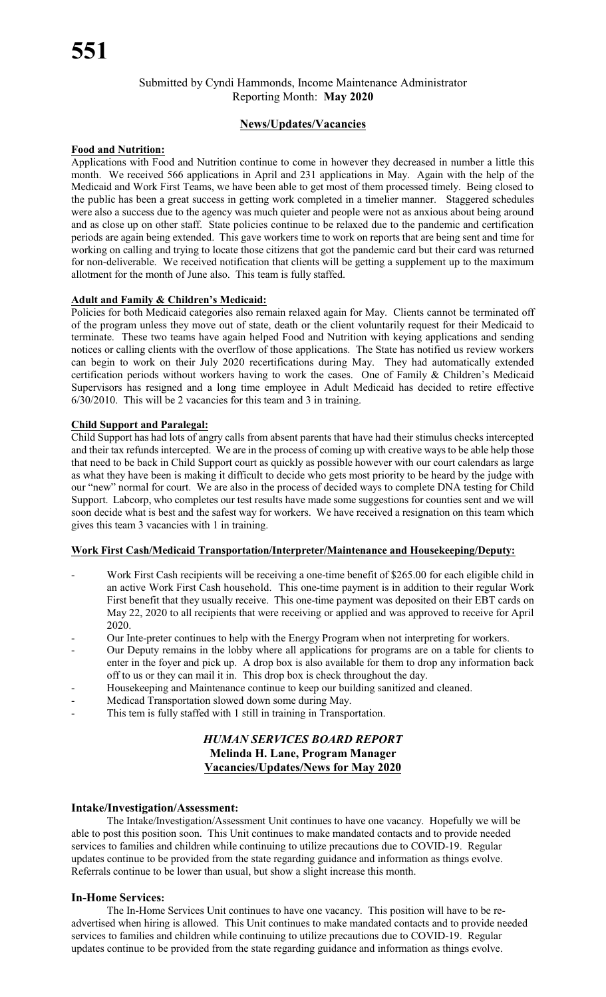# Submitted by Cyndi Hammonds, Income Maintenance Administrator Reporting Month: **May 2020**

#### **News/Updates/Vacancies**

#### **Food and Nutrition:**

Applications with Food and Nutrition continue to come in however they decreased in number a little this month. We received 566 applications in April and 231 applications in May. Again with the help of the Medicaid and Work First Teams, we have been able to get most of them processed timely. Being closed to the public has been a great success in getting work completed in a timelier manner. Staggered schedules were also a success due to the agency was much quieter and people were not as anxious about being around and as close up on other staff. State policies continue to be relaxed due to the pandemic and certification periods are again being extended. This gave workers time to work on reports that are being sent and time for working on calling and trying to locate those citizens that got the pandemic card but their card was returned for non-deliverable. We received notification that clients will be getting a supplement up to the maximum allotment for the month of June also. This team is fully staffed.

#### **Adult and Family & Children's Medicaid:**

Policies for both Medicaid categories also remain relaxed again for May. Clients cannot be terminated off of the program unless they move out of state, death or the client voluntarily request for their Medicaid to terminate. These two teams have again helped Food and Nutrition with keying applications and sending notices or calling clients with the overflow of those applications. The State has notified us review workers can begin to work on their July 2020 recertifications during May. They had automatically extended certification periods without workers having to work the cases. One of Family & Children's Medicaid Supervisors has resigned and a long time employee in Adult Medicaid has decided to retire effective 6/30/2010. This will be 2 vacancies for this team and 3 in training.

#### **Child Support and Paralegal:**

Child Support has had lots of angry calls from absent parents that have had their stimulus checks intercepted and their tax refunds intercepted. We are in the process of coming up with creative waysto be able help those that need to be back in Child Support court as quickly as possible however with our court calendars as large as what they have been is making it difficult to decide who gets most priority to be heard by the judge with our "new" normal for court. We are also in the process of decided ways to complete DNA testing for Child Support. Labcorp, who completes our test results have made some suggestions for counties sent and we will soon decide what is best and the safest way for workers. We have received a resignation on this team which gives this team 3 vacancies with 1 in training.

#### **Work First Cash/Medicaid Transportation/Interpreter/Maintenance and Housekeeping/Deputy:**

- Work First Cash recipients will be receiving a one-time benefit of \$265.00 for each eligible child in an active Work First Cash household. This one-time payment is in addition to their regular Work First benefit that they usually receive. This one-time payment was deposited on their EBT cards on May 22, 2020 to all recipients that were receiving or applied and was approved to receive for April 2020.
- Our Inte-preter continues to help with the Energy Program when not interpreting for workers.
- Our Deputy remains in the lobby where all applications for programs are on a table for clients to enter in the foyer and pick up. A drop box is also available for them to drop any information back off to us or they can mail it in. This drop box is check throughout the day.
- Housekeeping and Maintenance continue to keep our building sanitized and cleaned.
- Medicad Transportation slowed down some during May.
- This tem is fully staffed with 1 still in training in Transportation.

#### *HUMAN SERVICES BOARD REPORT* **Melinda H. Lane, Program Manager Vacancies/Updates/News for May 2020**

#### **Intake/Investigation/Assessment:**

The Intake/Investigation/Assessment Unit continues to have one vacancy. Hopefully we will be able to post this position soon. This Unit continues to make mandated contacts and to provide needed services to families and children while continuing to utilize precautions due to COVID-19. Regular updates continue to be provided from the state regarding guidance and information as things evolve. Referrals continue to be lower than usual, but show a slight increase this month.

#### **In-Home Services:**

The In-Home Services Unit continues to have one vacancy. This position will have to be readvertised when hiring is allowed. This Unit continues to make mandated contacts and to provide needed services to families and children while continuing to utilize precautions due to COVID-19. Regular updates continue to be provided from the state regarding guidance and information as things evolve.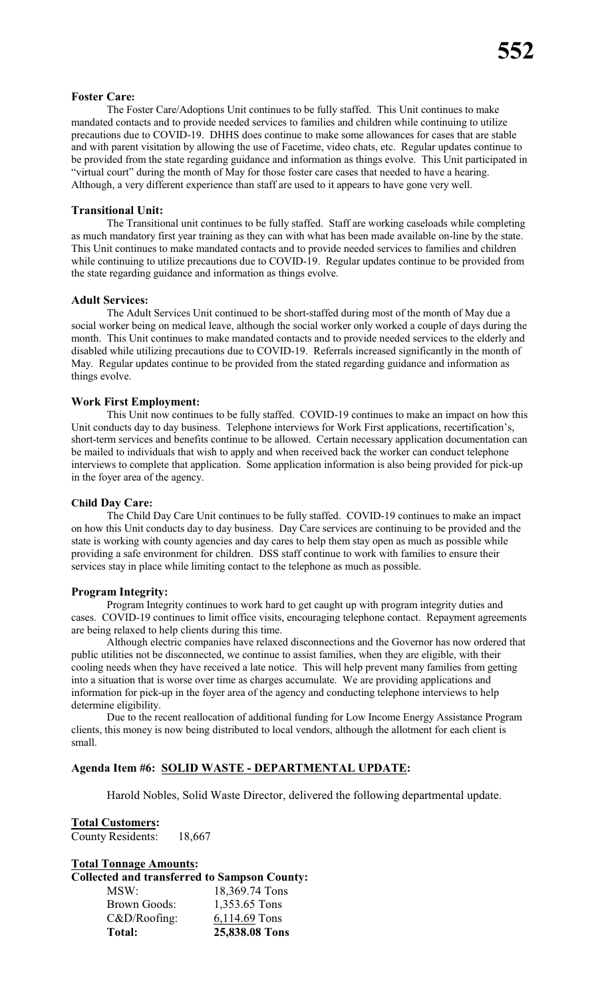#### **Foster Care:**

The Foster Care/Adoptions Unit continues to be fully staffed. This Unit continues to make mandated contacts and to provide needed services to families and children while continuing to utilize precautions due to COVID-19. DHHS does continue to make some allowances for cases that are stable and with parent visitation by allowing the use of Facetime, video chats, etc. Regular updates continue to be provided from the state regarding guidance and information as things evolve. This Unit participated in "virtual court" during the month of May for those foster care cases that needed to have a hearing. Although, a very different experience than staff are used to it appears to have gone very well.

#### **Transitional Unit:**

The Transitional unit continues to be fully staffed. Staff are working caseloads while completing as much mandatory first year training as they can with what has been made available on-line by the state. This Unit continues to make mandated contacts and to provide needed services to families and children while continuing to utilize precautions due to COVID-19. Regular updates continue to be provided from the state regarding guidance and information as things evolve.

#### **Adult Services:**

The Adult Services Unit continued to be short-staffed during most of the month of May due a social worker being on medical leave, although the social worker only worked a couple of days during the month. This Unit continues to make mandated contacts and to provide needed services to the elderly and disabled while utilizing precautions due to COVID-19. Referrals increased significantly in the month of May. Regular updates continue to be provided from the stated regarding guidance and information as things evolve.

#### **Work First Employment:**

This Unit now continues to be fully staffed. COVID-19 continues to make an impact on how this Unit conducts day to day business. Telephone interviews for Work First applications, recertification's, short-term services and benefits continue to be allowed. Certain necessary application documentation can be mailed to individuals that wish to apply and when received back the worker can conduct telephone interviews to complete that application. Some application information is also being provided for pick-up in the foyer area of the agency.

#### **Child Day Care:**

The Child Day Care Unit continues to be fully staffed. COVID-19 continues to make an impact on how this Unit conducts day to day business. Day Care services are continuing to be provided and the state is working with county agencies and day cares to help them stay open as much as possible while providing a safe environment for children. DSS staff continue to work with families to ensure their services stay in place while limiting contact to the telephone as much as possible.

#### **Program Integrity:**

Program Integrity continues to work hard to get caught up with program integrity duties and cases. COVID-19 continues to limit office visits, encouraging telephone contact. Repayment agreements are being relaxed to help clients during this time.

Although electric companies have relaxed disconnections and the Governor has now ordered that public utilities not be disconnected, we continue to assist families, when they are eligible, with their cooling needs when they have received a late notice. This will help prevent many families from getting into a situation that is worse over time as charges accumulate. We are providing applications and information for pick-up in the foyer area of the agency and conducting telephone interviews to help determine eligibility.

Due to the recent reallocation of additional funding for Low Income Energy Assistance Program clients, this money is now being distributed to local vendors, although the allotment for each client is small.

#### **Agenda Item #6: SOLID WASTE - DEPARTMENTAL UPDATE:**

Harold Nobles, Solid Waste Director, delivered the following departmental update.

#### **Total Customers:** County Residents: 18,667

# **Total Tonnage Amounts: Collected and transferred to Sampson County:**

| MSW:            | 18,369.74 Tons |
|-----------------|----------------|
| Brown Goods:    | 1,353.65 Tons  |
| $C&D/R$ oofing: | 6,114.69 Tons  |
| Total:          | 25,838.08 Tons |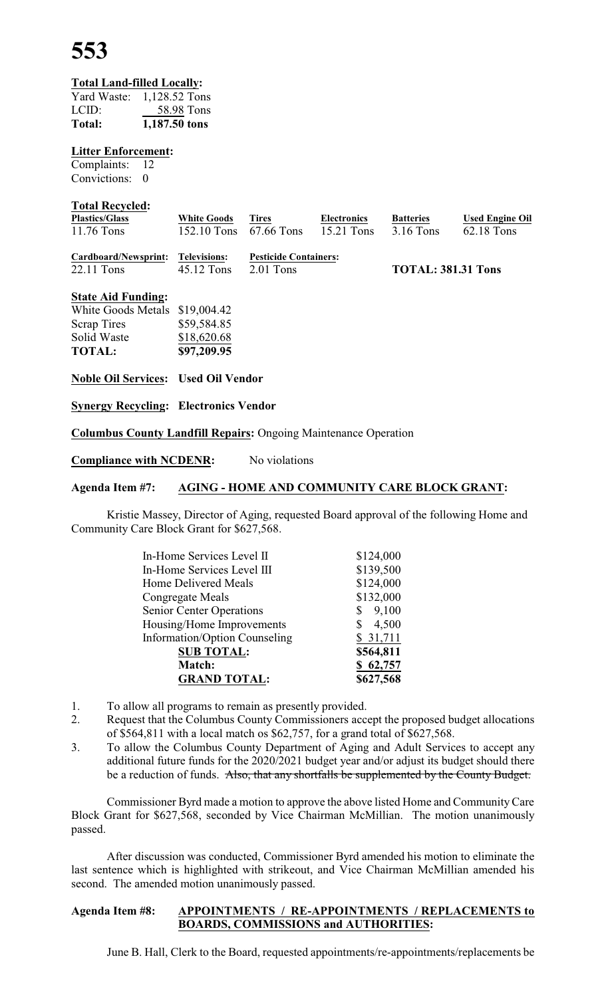**553**

#### **Total Land-filled Locally:**

| Yard Waste: | 1,128.52 Tons |
|-------------|---------------|
| LCID:       | 58.98 Tons    |
| Total:      | 1,187.50 tons |

#### **Litter Enforcement:**

Complaints: 12 Convictions: 0

#### **Total Recycled:**

| <b>Plastics/Glass</b> | <b>White Goods</b>     | Tires | <b>Electronics</b> | <b>Batteries</b> | <b>Used Engine Oil</b> |
|-----------------------|------------------------|-------|--------------------|------------------|------------------------|
| $11.76$ Tons          | 152.10 Tons 67.66 Tons |       | $15.21$ Tons       | 3.16 Tons        | 62.18 Tons             |
|                       |                        |       |                    |                  |                        |

| Cardboard/Newsprint: Televisions: |                          | <b>Pesticide Containers:</b> |                           |
|-----------------------------------|--------------------------|------------------------------|---------------------------|
| 22.11 Tons                        | $45.12$ Tons $2.01$ Tons |                              | <b>TOTAL: 381.31 Tons</b> |

#### **State Aid Funding:**

| <b>TOTAL:</b>      | \$97,209.95 |
|--------------------|-------------|
| Solid Waste        | \$18,620.68 |
| <b>Scrap Tires</b> | \$59,584.85 |
| White Goods Metals | \$19,004.42 |

#### **Noble Oil Services: Used Oil Vendor**

**Synergy Recycling: Electronics Vendor**

**Columbus County Landfill Repairs:** Ongoing Maintenance Operation

**Compliance with NCDENR:** No violations

#### **Agenda Item #7: AGING - HOME AND COMMUNITY CARE BLOCK GRANT:**

Kristie Massey, Director of Aging, requested Board approval of the following Home and Community Care Block Grant for \$627,568.

| In-Home Services Level II       | \$124,000               |
|---------------------------------|-------------------------|
| In-Home Services Level III      | \$139,500               |
| Home Delivered Meals            | \$124,000               |
| Congregate Meals                | \$132,000               |
| <b>Senior Center Operations</b> | \$9,100                 |
| Housing/Home Improvements       | 4,500<br>$\mathbb{S}^-$ |
| Information/Option Counseling   | \$31,711                |
| <b>SUB TOTAL:</b>               | \$564,811               |
| Match:                          | \$62,757                |
| <b>GRAND TOTAL:</b>             | \$627,568               |

- 1. To allow all programs to remain as presently provided.
- 2. Request that the Columbus County Commissioners accept the proposed budget allocations of \$564,811 with a local match os \$62,757, for a grand total of \$627,568.
- 3. To allow the Columbus County Department of Aging and Adult Services to accept any additional future funds for the 2020/2021 budget year and/or adjust its budget should there be a reduction of funds. Also, that any shortfalls be supplemented by the County Budget.

Commissioner Byrd made a motion to approve the above listed Home and CommunityCare Block Grant for \$627,568, seconded by Vice Chairman McMillian. The motion unanimously passed.

After discussion was conducted, Commissioner Byrd amended his motion to eliminate the last sentence which is highlighted with strikeout, and Vice Chairman McMillian amended his second. The amended motion unanimously passed.

#### **Agenda Item #8: APPOINTMENTS / RE-APPOINTMENTS / REPLACEMENTS to BOARDS, COMMISSIONS and AUTHORITIES:**

June B. Hall, Clerk to the Board, requested appointments/re-appointments/replacements be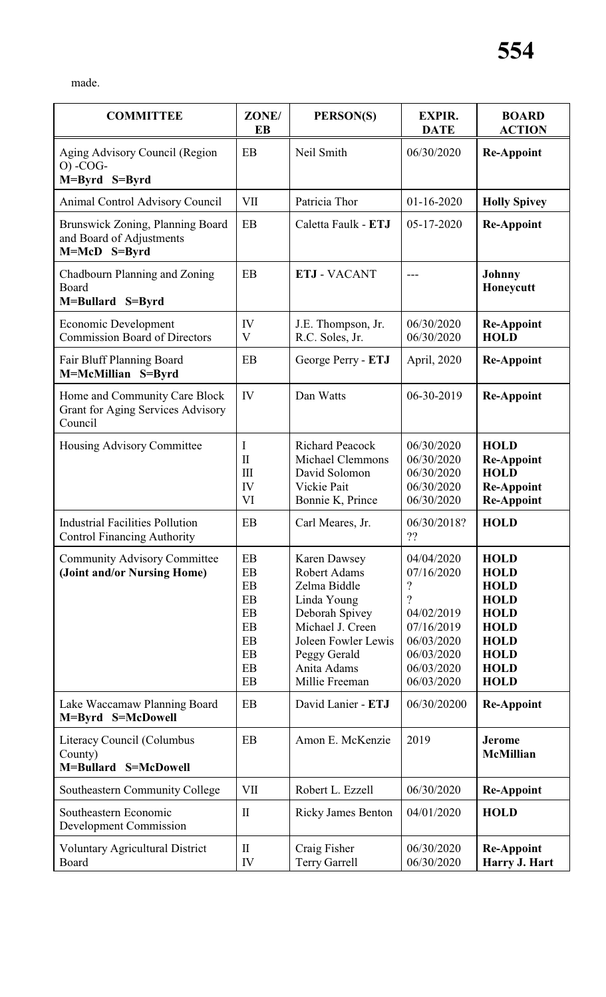| made |
|------|
|------|

| <b>COMMITTEE</b>                                                                     | ZONE/<br>EB                                                  | PERSON(S)                                                                                                                                                                        | <b>EXPIR.</b><br><b>DATE</b>                                                                                                  | <b>BOARD</b><br><b>ACTION</b>                                                                                                                      |
|--------------------------------------------------------------------------------------|--------------------------------------------------------------|----------------------------------------------------------------------------------------------------------------------------------------------------------------------------------|-------------------------------------------------------------------------------------------------------------------------------|----------------------------------------------------------------------------------------------------------------------------------------------------|
| Aging Advisory Council (Region<br>$O$ ) -COG-<br>M=Byrd S=Byrd                       | EB                                                           | 06/30/2020<br>Neil Smith                                                                                                                                                         |                                                                                                                               | <b>Re-Appoint</b>                                                                                                                                  |
| <b>Animal Control Advisory Council</b>                                               | <b>VII</b>                                                   | Patricia Thor                                                                                                                                                                    | 01-16-2020                                                                                                                    | <b>Holly Spivey</b>                                                                                                                                |
| Brunswick Zoning, Planning Board<br>and Board of Adjustments<br>M=McD S=Byrd         | EB                                                           | Caletta Faulk - ETJ                                                                                                                                                              | 05-17-2020                                                                                                                    | <b>Re-Appoint</b>                                                                                                                                  |
| Chadbourn Planning and Zoning<br>Board<br>M=Bullard S=Byrd                           | EB                                                           | <b>ETJ - VACANT</b>                                                                                                                                                              |                                                                                                                               | <b>Johnny</b><br>Honeycutt                                                                                                                         |
| Economic Development<br><b>Commission Board of Directors</b>                         | IV<br>V                                                      | J.E. Thompson, Jr.<br>R.C. Soles, Jr.                                                                                                                                            | 06/30/2020<br>06/30/2020                                                                                                      | <b>Re-Appoint</b><br><b>HOLD</b>                                                                                                                   |
| Fair Bluff Planning Board<br>M=McMillian S=Byrd                                      | EB                                                           | George Perry - ETJ                                                                                                                                                               | April, 2020                                                                                                                   | <b>Re-Appoint</b>                                                                                                                                  |
| Home and Community Care Block<br><b>Grant for Aging Services Advisory</b><br>Council | IV                                                           | Dan Watts                                                                                                                                                                        | 06-30-2019                                                                                                                    | <b>Re-Appoint</b>                                                                                                                                  |
| Housing Advisory Committee                                                           | I<br>$\mathbf{I}$<br>$\mathop{\rm III}\nolimits$<br>IV<br>VI | <b>Richard Peacock</b><br><b>Michael Clemmons</b><br>David Solomon<br>Vickie Pait<br>Bonnie K, Prince                                                                            | 06/30/2020<br>06/30/2020<br>06/30/2020<br>06/30/2020<br>06/30/2020                                                            | <b>HOLD</b><br><b>Re-Appoint</b><br><b>HOLD</b><br><b>Re-Appoint</b><br><b>Re-Appoint</b>                                                          |
| <b>Industrial Facilities Pollution</b><br><b>Control Financing Authority</b>         | EB                                                           | Carl Meares, Jr.                                                                                                                                                                 | 06/30/2018?<br>??                                                                                                             | <b>HOLD</b>                                                                                                                                        |
| <b>Community Advisory Committee</b><br>(Joint and/or Nursing Home)                   | EB<br>EB<br>EB<br>EB<br>EB<br>EB<br>EB<br>EB<br>EB<br>EB     | Karen Dawsey<br><b>Robert Adams</b><br>Zelma Biddle<br>Linda Young<br>Deborah Spivey<br>Michael J. Creen<br>Joleen Fowler Lewis<br>Peggy Gerald<br>Anita Adams<br>Millie Freeman | 04/04/2020<br>07/16/2020<br>?<br>$\gamma$<br>04/02/2019<br>07/16/2019<br>06/03/2020<br>06/03/2020<br>06/03/2020<br>06/03/2020 | <b>HOLD</b><br><b>HOLD</b><br><b>HOLD</b><br><b>HOLD</b><br><b>HOLD</b><br><b>HOLD</b><br><b>HOLD</b><br><b>HOLD</b><br><b>HOLD</b><br><b>HOLD</b> |
| Lake Waccamaw Planning Board<br>M=Byrd S=McDowell                                    | EB                                                           | David Lanier - ETJ                                                                                                                                                               | 06/30/20200                                                                                                                   | <b>Re-Appoint</b>                                                                                                                                  |
| Literacy Council (Columbus<br>County)<br>M=Bullard S=McDowell                        | EB                                                           | Amon E. McKenzie                                                                                                                                                                 | 2019                                                                                                                          | <b>Jerome</b><br><b>McMillian</b>                                                                                                                  |
| Southeastern Community College                                                       | <b>VII</b>                                                   | Robert L. Ezzell                                                                                                                                                                 | 06/30/2020                                                                                                                    | <b>Re-Appoint</b>                                                                                                                                  |
| Southeastern Economic<br><b>Development Commission</b>                               | $\mathbf{I}$                                                 | <b>Ricky James Benton</b>                                                                                                                                                        | 04/01/2020                                                                                                                    | <b>HOLD</b>                                                                                                                                        |
| <b>Voluntary Agricultural District</b><br>Board                                      | $\mathbf{I}$<br>IV                                           | Craig Fisher<br><b>Terry Garrell</b>                                                                                                                                             | 06/30/2020<br>06/30/2020                                                                                                      | <b>Re-Appoint</b><br>Harry J. Hart                                                                                                                 |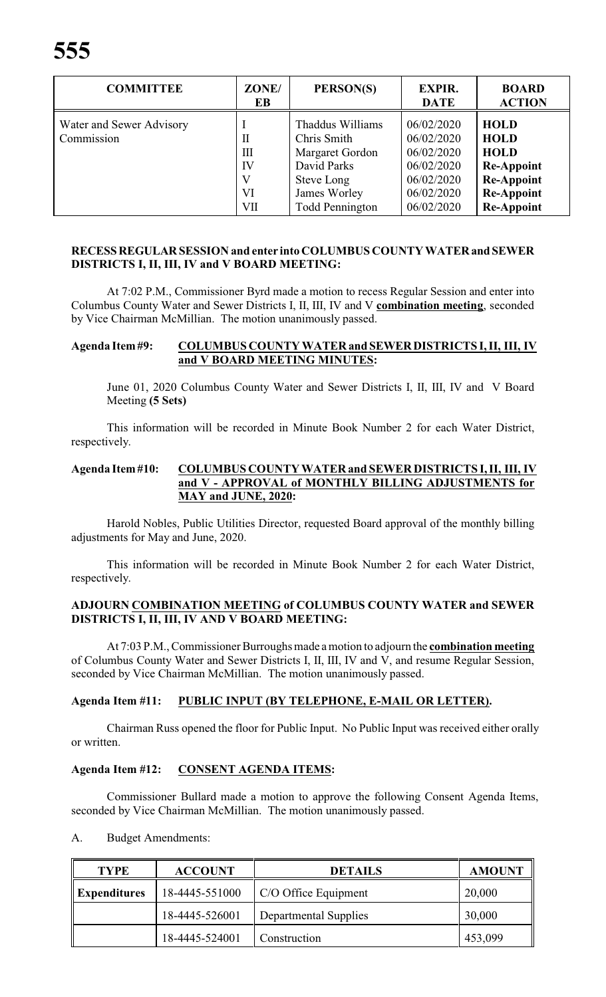| <b>COMMITTEE</b>                       | ZONE/<br>EB                    | PERSON(S)                                                                                                                 | <b>EXPIR.</b><br><b>DATE</b>                                                                   | <b>BOARD</b><br><b>ACTION</b>                                                                                                 |
|----------------------------------------|--------------------------------|---------------------------------------------------------------------------------------------------------------------------|------------------------------------------------------------------------------------------------|-------------------------------------------------------------------------------------------------------------------------------|
| Water and Sewer Advisory<br>Commission | П<br>Ш<br>IV<br>V<br>VI<br>VII | Thaddus Williams<br>Chris Smith<br>Margaret Gordon<br>David Parks<br>Steve Long<br>James Worley<br><b>Todd Pennington</b> | 06/02/2020<br>06/02/2020<br>06/02/2020<br>06/02/2020<br>06/02/2020<br>06/02/2020<br>06/02/2020 | <b>HOLD</b><br><b>HOLD</b><br><b>HOLD</b><br><b>Re-Appoint</b><br><b>Re-Appoint</b><br><b>Re-Appoint</b><br><b>Re-Appoint</b> |

# **RECESSREGULARSESSION and enter into COLUMBUS COUNTY WATERand SEWER DISTRICTS I, II, III, IV and V BOARD MEETING:**

At 7:02 P.M., Commissioner Byrd made a motion to recess Regular Session and enter into Columbus County Water and Sewer Districts I, II, III, IV and V **combination meeting**, seconded by Vice Chairman McMillian. The motion unanimously passed.

#### **Agenda Item#9: COLUMBUS COUNTY WATER and SEWERDISTRICTS I, II, III, IV and V BOARD MEETING MINUTES:**

June 01, 2020 Columbus County Water and Sewer Districts I, II, III, IV and V Board Meeting **(5 Sets)**

This information will be recorded in Minute Book Number 2 for each Water District, respectively.

#### **Agenda Item#10: COLUMBUS COUNTY WATER and SEWER DISTRICTS I, II, III, IV and V - APPROVAL of MONTHLY BILLING ADJUSTMENTS for MAY and JUNE, 2020:**

Harold Nobles, Public Utilities Director, requested Board approval of the monthly billing adjustments for May and June, 2020.

This information will be recorded in Minute Book Number 2 for each Water District, respectively.

#### **ADJOURN COMBINATION MEETING of COLUMBUS COUNTY WATER and SEWER DISTRICTS I, II, III, IV AND V BOARD MEETING:**

At 7:03 P.M., Commissioner Burroughs made a motion to adjourn the **combination meeting** of Columbus County Water and Sewer Districts I, II, III, IV and V, and resume Regular Session, seconded by Vice Chairman McMillian. The motion unanimously passed.

# **Agenda Item #11: PUBLIC INPUT (BY TELEPHONE, E-MAIL OR LETTER).**

Chairman Russ opened the floor for Public Input. No Public Input was received either orally or written.

#### **Agenda Item #12: CONSENT AGENDA ITEMS:**

Commissioner Bullard made a motion to approve the following Consent Agenda Items, seconded by Vice Chairman McMillian. The motion unanimously passed.

#### A. Budget Amendments:

| <b>TYPE</b>              | <b>ACCOUNT</b> | <b>DETAILS</b>        | <b>AMOUNT</b> |
|--------------------------|----------------|-----------------------|---------------|
| $\parallel$ Expenditures | 18-4445-551000 | C/O Office Equipment  | 20,000        |
|                          | 18-4445-526001 | Departmental Supplies | 30,000        |
|                          | 18-4445-524001 | Construction          | 453,099       |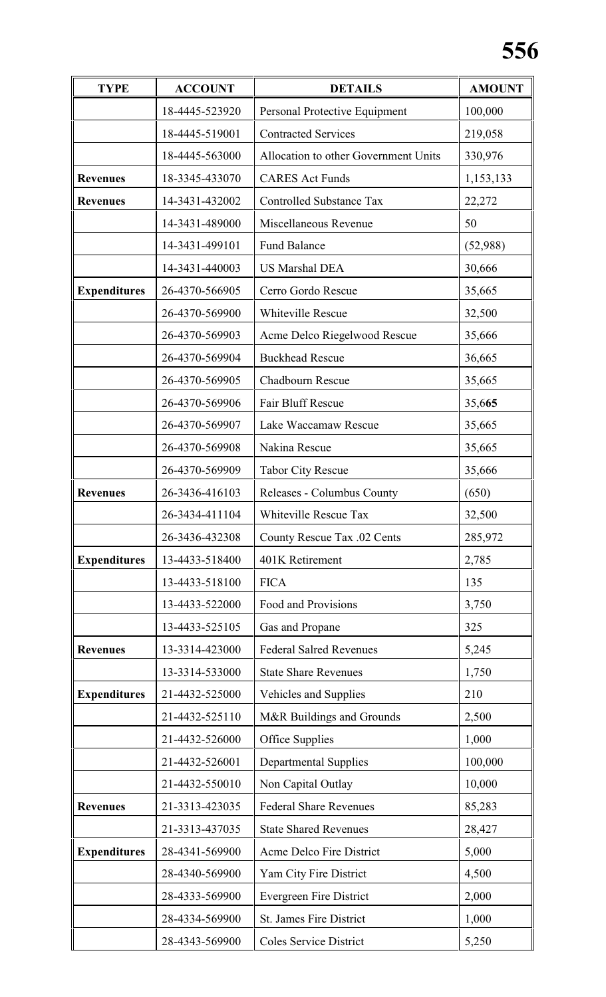# **556**

| <b>TYPE</b>         | <b>ACCOUNT</b> | <b>DETAILS</b>                       | <b>AMOUNT</b> |
|---------------------|----------------|--------------------------------------|---------------|
|                     | 18-4445-523920 | Personal Protective Equipment        | 100,000       |
|                     | 18-4445-519001 | <b>Contracted Services</b>           | 219,058       |
|                     | 18-4445-563000 | Allocation to other Government Units | 330,976       |
| <b>Revenues</b>     | 18-3345-433070 | <b>CARES</b> Act Funds               | 1,153,133     |
| <b>Revenues</b>     | 14-3431-432002 | <b>Controlled Substance Tax</b>      | 22,272        |
|                     | 14-3431-489000 | Miscellaneous Revenue                | 50            |
|                     | 14-3431-499101 | <b>Fund Balance</b>                  | (52,988)      |
|                     | 14-3431-440003 | <b>US Marshal DEA</b>                | 30,666        |
| <b>Expenditures</b> | 26-4370-566905 | Cerro Gordo Rescue                   | 35,665        |
|                     | 26-4370-569900 | Whiteville Rescue                    | 32,500        |
|                     | 26-4370-569903 | Acme Delco Riegelwood Rescue         | 35,666        |
|                     | 26-4370-569904 | <b>Buckhead Rescue</b>               | 36,665        |
|                     | 26-4370-569905 | Chadbourn Rescue                     | 35,665        |
|                     | 26-4370-569906 | Fair Bluff Rescue                    | 35,665        |
|                     | 26-4370-569907 | Lake Waccamaw Rescue                 | 35,665        |
|                     | 26-4370-569908 | Nakina Rescue                        | 35,665        |
|                     | 26-4370-569909 | <b>Tabor City Rescue</b>             | 35,666        |
| <b>Revenues</b>     | 26-3436-416103 | Releases - Columbus County           | (650)         |
|                     | 26-3434-411104 | Whiteville Rescue Tax                | 32,500        |
|                     | 26-3436-432308 | County Rescue Tax .02 Cents          | 285,972       |
| <b>Expenditures</b> | 13-4433-518400 | 401K Retirement                      | 2,785         |
|                     | 13-4433-518100 | <b>FICA</b>                          | 135           |
|                     | 13-4433-522000 | Food and Provisions                  | 3,750         |
|                     | 13-4433-525105 | Gas and Propane                      | 325           |
| <b>Revenues</b>     | 13-3314-423000 | <b>Federal Salred Revenues</b>       | 5,245         |
|                     | 13-3314-533000 | <b>State Share Revenues</b>          | 1,750         |
| <b>Expenditures</b> | 21-4432-525000 | Vehicles and Supplies                | 210           |
|                     | 21-4432-525110 | M&R Buildings and Grounds            | 2,500         |
|                     | 21-4432-526000 | Office Supplies                      | 1,000         |
|                     | 21-4432-526001 | <b>Departmental Supplies</b>         | 100,000       |
|                     | 21-4432-550010 | Non Capital Outlay                   | 10,000        |
| <b>Revenues</b>     | 21-3313-423035 | <b>Federal Share Revenues</b>        | 85,283        |
|                     | 21-3313-437035 | <b>State Shared Revenues</b>         | 28,427        |
| <b>Expenditures</b> | 28-4341-569900 | Acme Delco Fire District             | 5,000         |
|                     | 28-4340-569900 | Yam City Fire District               | 4,500         |
|                     | 28-4333-569900 | <b>Evergreen Fire District</b>       | 2,000         |
|                     | 28-4334-569900 | St. James Fire District              | 1,000         |
|                     | 28-4343-569900 | <b>Coles Service District</b>        | 5,250         |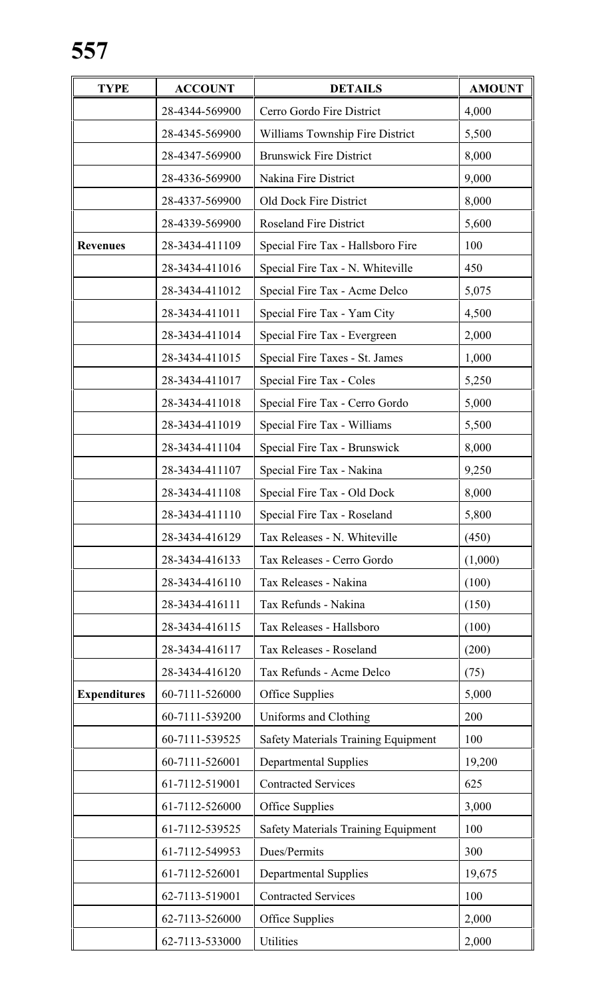| <b>TYPE</b>         | <b>ACCOUNT</b> | <b>DETAILS</b>                             |         |
|---------------------|----------------|--------------------------------------------|---------|
|                     | 28-4344-569900 | Cerro Gordo Fire District                  | 4,000   |
|                     | 28-4345-569900 | Williams Township Fire District            | 5,500   |
|                     | 28-4347-569900 | <b>Brunswick Fire District</b>             | 8,000   |
|                     | 28-4336-569900 | Nakina Fire District                       | 9,000   |
|                     | 28-4337-569900 | <b>Old Dock Fire District</b>              | 8,000   |
|                     | 28-4339-569900 | <b>Roseland Fire District</b>              | 5,600   |
| <b>Revenues</b>     | 28-3434-411109 | Special Fire Tax - Hallsboro Fire          | 100     |
|                     | 28-3434-411016 | Special Fire Tax - N. Whiteville           | 450     |
|                     | 28-3434-411012 | Special Fire Tax - Acme Delco              | 5,075   |
|                     | 28-3434-411011 | Special Fire Tax - Yam City                | 4,500   |
|                     | 28-3434-411014 | Special Fire Tax - Evergreen               | 2,000   |
|                     | 28-3434-411015 | Special Fire Taxes - St. James             | 1,000   |
|                     | 28-3434-411017 | Special Fire Tax - Coles                   | 5,250   |
|                     | 28-3434-411018 | Special Fire Tax - Cerro Gordo             | 5,000   |
|                     | 28-3434-411019 | Special Fire Tax - Williams                | 5,500   |
|                     | 28-3434-411104 | Special Fire Tax - Brunswick               | 8,000   |
|                     | 28-3434-411107 | Special Fire Tax - Nakina                  | 9,250   |
|                     | 28-3434-411108 | Special Fire Tax - Old Dock                | 8,000   |
|                     | 28-3434-411110 | Special Fire Tax - Roseland                | 5,800   |
|                     | 28-3434-416129 | Tax Releases - N. Whiteville               | (450)   |
|                     | 28-3434-416133 | Tax Releases - Cerro Gordo                 | (1,000) |
|                     | 28-3434-416110 | Tax Releases - Nakina                      | (100)   |
|                     | 28-3434-416111 | Tax Refunds - Nakina                       | (150)   |
|                     | 28-3434-416115 | Tax Releases - Hallsboro                   | (100)   |
|                     | 28-3434-416117 | Tax Releases - Roseland                    | (200)   |
|                     | 28-3434-416120 | Tax Refunds - Acme Delco                   | (75)    |
| <b>Expenditures</b> | 60-7111-526000 | Office Supplies                            | 5,000   |
|                     | 60-7111-539200 | Uniforms and Clothing                      | 200     |
|                     | 60-7111-539525 | <b>Safety Materials Training Equipment</b> | 100     |
|                     | 60-7111-526001 | <b>Departmental Supplies</b>               | 19,200  |
|                     | 61-7112-519001 | <b>Contracted Services</b>                 | 625     |
|                     | 61-7112-526000 | Office Supplies                            | 3,000   |
|                     | 61-7112-539525 | <b>Safety Materials Training Equipment</b> | 100     |
|                     | 61-7112-549953 | Dues/Permits                               | 300     |
|                     | 61-7112-526001 | <b>Departmental Supplies</b>               | 19,675  |
|                     | 62-7113-519001 | <b>Contracted Services</b>                 | 100     |
|                     | 62-7113-526000 | Office Supplies                            | 2,000   |
|                     | 62-7113-533000 | Utilities                                  | 2,000   |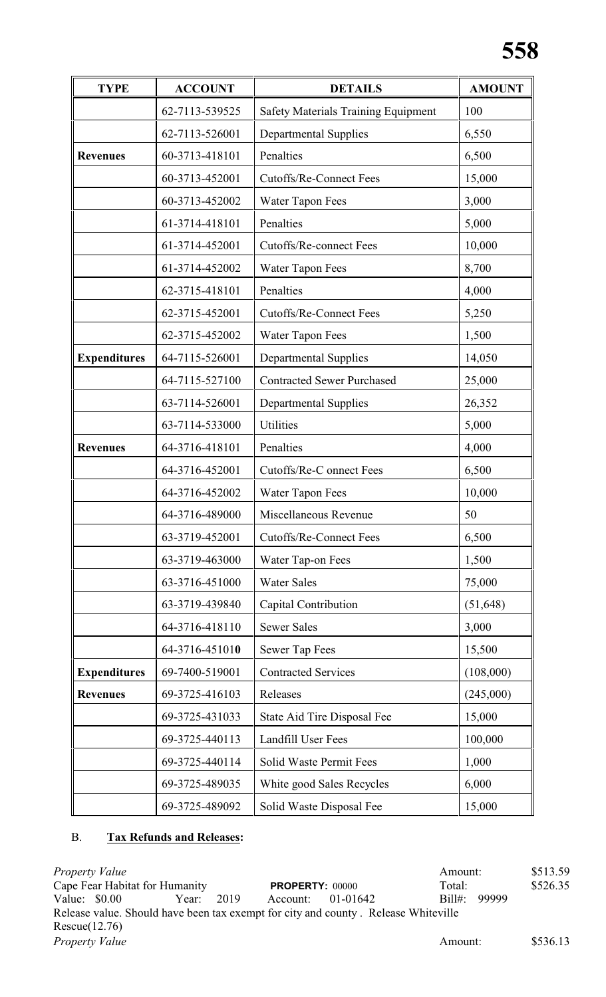| <b>TYPE</b>         | <b>ACCOUNT</b> | <b>DETAILS</b>                             | <b>AMOUNT</b> |
|---------------------|----------------|--------------------------------------------|---------------|
|                     | 62-7113-539525 | <b>Safety Materials Training Equipment</b> | 100           |
|                     | 62-7113-526001 | <b>Departmental Supplies</b>               | 6,550         |
| <b>Revenues</b>     | 60-3713-418101 | Penalties                                  | 6,500         |
|                     | 60-3713-452001 | <b>Cutoffs/Re-Connect Fees</b>             | 15,000        |
|                     | 60-3713-452002 | Water Tapon Fees                           | 3,000         |
|                     | 61-3714-418101 | Penalties                                  | 5,000         |
|                     | 61-3714-452001 | <b>Cutoffs/Re-connect Fees</b>             | 10,000        |
|                     | 61-3714-452002 | Water Tapon Fees                           | 8,700         |
|                     | 62-3715-418101 | Penalties                                  | 4,000         |
|                     | 62-3715-452001 | <b>Cutoffs/Re-Connect Fees</b>             | 5,250         |
|                     | 62-3715-452002 | Water Tapon Fees                           | 1,500         |
| <b>Expenditures</b> | 64-7115-526001 | <b>Departmental Supplies</b>               | 14,050        |
|                     | 64-7115-527100 | <b>Contracted Sewer Purchased</b>          | 25,000        |
|                     | 63-7114-526001 | <b>Departmental Supplies</b>               | 26,352        |
|                     | 63-7114-533000 | <b>Utilities</b>                           | 5,000         |
| <b>Revenues</b>     | 64-3716-418101 | Penalties                                  | 4,000         |
|                     | 64-3716-452001 | Cutoffs/Re-C onnect Fees                   | 6,500         |
|                     | 64-3716-452002 | Water Tapon Fees                           | 10,000        |
|                     | 64-3716-489000 | Miscellaneous Revenue                      | 50            |
|                     | 63-3719-452001 | <b>Cutoffs/Re-Connect Fees</b>             | 6,500         |
|                     | 63-3719-463000 | Water Tap-on Fees                          | 1,500         |
|                     | 63-3716-451000 | <b>Water Sales</b>                         | 75,000        |
|                     | 63-3719-439840 | Capital Contribution                       | (51, 648)     |
|                     | 64-3716-418110 | <b>Sewer Sales</b>                         | 3,000         |
|                     | 64-3716-451010 | Sewer Tap Fees                             | 15,500        |
| <b>Expenditures</b> | 69-7400-519001 | <b>Contracted Services</b>                 | (108,000)     |
| <b>Revenues</b>     | 69-3725-416103 | Releases                                   | (245,000)     |
|                     | 69-3725-431033 | State Aid Tire Disposal Fee                | 15,000        |
|                     | 69-3725-440113 | Landfill User Fees                         | 100,000       |
|                     | 69-3725-440114 | Solid Waste Permit Fees                    | 1,000         |
|                     | 69-3725-489035 | White good Sales Recycles                  | 6,000         |
|                     | 69-3725-489092 | Solid Waste Disposal Fee                   | 15,000        |

# B. **Tax Refunds and Releases:**

*Property Value* \$513.59<br>
Cape Fear Habitat for Humanity **PROPERTY**: 00000 **Amount:** \$526.35<br> **PROPERTY:** 00000 **Contact S526.35** Cape Fear Habitat for Humanity<br>
Value: \$0.00 Year: 2019 Account: 01-01642 Account: 01-01642 Bill#: 99999 Release value. Should have been tax exempt for city and county . Release Whiteville Rescue(12.76) *Property Value* \$536.13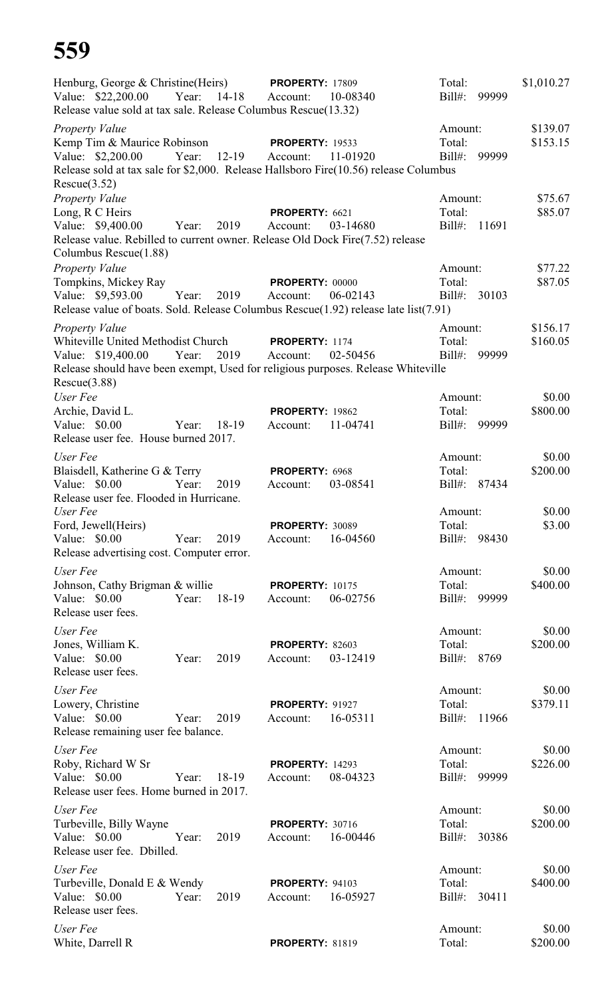| Henburg, George & Christine(Heirs) PROPERTY: 17809<br>Value: \$22,200.00<br>Release value sold at tax sale. Release Columbus Rescue(13.32)                                                  | Year:<br>14-18 | Account:                           | 10-08340 | Total:<br>$Bill#$ :               | 99999 | \$1,010.27           |
|---------------------------------------------------------------------------------------------------------------------------------------------------------------------------------------------|----------------|------------------------------------|----------|-----------------------------------|-------|----------------------|
| <b>Property Value</b><br>Kemp Tim & Maurice Robinson<br>Value: \$2,200.00<br>Release sold at tax sale for \$2,000. Release Hallsboro Fire(10.56) release Columbus<br>Rescue(3.52)           | 12-19<br>Year: | <b>PROPERTY: 19533</b><br>Account: | 11-01920 | Amount:<br>Total:<br>$Bill#$ :    | 99999 | \$139.07<br>\$153.15 |
| Property Value<br>Long, R C Heirs<br>Value: \$9,400.00<br>Release value. Rebilled to current owner. Release Old Dock Fire(7.52) release<br>Columbus Rescue(1.88)                            | 2019<br>Year:  | PROPERTY: 6621<br>Account:         | 03-14680 | Amount:<br>Total:<br>Bill#: 11691 |       | \$75.67<br>\$85.07   |
| <b>Property Value</b><br>Tompkins, Mickey Ray<br>Value: \$9,593.00<br>Release value of boats. Sold. Release Columbus Rescue $(1.92)$ release late list $(7.91)$                             | Year:<br>2019  | <b>PROPERTY: 00000</b><br>Account: | 06-02143 | Amount:<br>Total:<br>$Bill#$ :    | 30103 | \$77.22<br>\$87.05   |
| <b>Property Value</b><br>Whiteville United Methodist Church<br>Value: \$19,400.00 Year:<br>Release should have been exempt, Used for religious purposes. Release Whiteville<br>Rescue(3.88) | 2019           | PROPERTY: 1174<br>Account:         | 02-50456 | Amount:<br>Total:<br>$Bill#$ :    | 99999 | \$156.17<br>\$160.05 |
| User Fee<br>Archie, David L.<br>Value: \$0.00<br>Release user fee. House burned 2017.                                                                                                       | 18-19<br>Year: | <b>PROPERTY: 19862</b><br>Account: | 11-04741 | Amount:<br>Total:<br>$Bill#$ :    | 99999 | \$0.00<br>\$800.00   |
| User Fee<br>Blaisdell, Katherine G & Terry<br>Value: \$0.00<br>Release user fee. Flooded in Hurricane.                                                                                      | Year:<br>2019  | PROPERTY: 6968<br>Account:         | 03-08541 | Amount:<br>Total:<br>Bill#: 87434 |       | \$0.00<br>\$200.00   |
| User Fee<br>Ford, Jewell(Heirs)<br>Value: \$0.00<br>Release advertising cost. Computer error.                                                                                               | Year:<br>2019  | <b>PROPERTY: 30089</b><br>Account: | 16-04560 | Amount:<br>Total:<br>$Bill#$ :    | 98430 | \$0.00<br>\$3.00     |
| User Fee<br>Johnson, Cathy Brigman & willie<br>Value: \$0.00<br>Release user fees.                                                                                                          | 18-19<br>Year: | <b>PROPERTY: 10175</b><br>Account: | 06-02756 | Amount:<br>Total:<br>$Bill#$ :    | 99999 | \$0.00<br>\$400.00   |
| User Fee<br>Jones, William K.<br>Value: \$0.00<br>Release user fees.                                                                                                                        | 2019<br>Year:  | <b>PROPERTY: 82603</b><br>Account: | 03-12419 | Amount:<br>Total:<br>Bill#: 8769  |       | \$0.00<br>\$200.00   |
| User Fee<br>Lowery, Christine<br>Value: \$0.00<br>Release remaining user fee balance.                                                                                                       | 2019<br>Year:  | <b>PROPERTY: 91927</b><br>Account: | 16-05311 | Amount:<br>Total:<br>$Bill#$ :    | 11966 | \$0.00<br>\$379.11   |
| User Fee<br>Roby, Richard W Sr<br>Value: \$0.00<br>Release user fees. Home burned in 2017.                                                                                                  | Year:<br>18-19 | <b>PROPERTY: 14293</b><br>Account: | 08-04323 | Amount:<br>Total:<br>$Bill#$ :    | 99999 | \$0.00<br>\$226.00   |
| User Fee<br>Turbeville, Billy Wayne<br>Value: \$0.00<br>Release user fee. Dbilled.                                                                                                          | Year:<br>2019  | <b>PROPERTY: 30716</b><br>Account: | 16-00446 | Amount:<br>Total:<br>$Bill#$ :    | 30386 | \$0.00<br>\$200.00   |
| User Fee<br>Turbeville, Donald E & Wendy<br>Value: \$0.00<br>Release user fees.                                                                                                             | 2019<br>Year:  | <b>PROPERTY: 94103</b><br>Account: | 16-05927 | Amount:<br>Total:<br>Bill#:       | 30411 | \$0.00<br>\$400.00   |
| User Fee<br>White, Darrell R                                                                                                                                                                |                | <b>PROPERTY: 81819</b>             |          | Amount:<br>Total:                 |       | \$0.00<br>\$200.00   |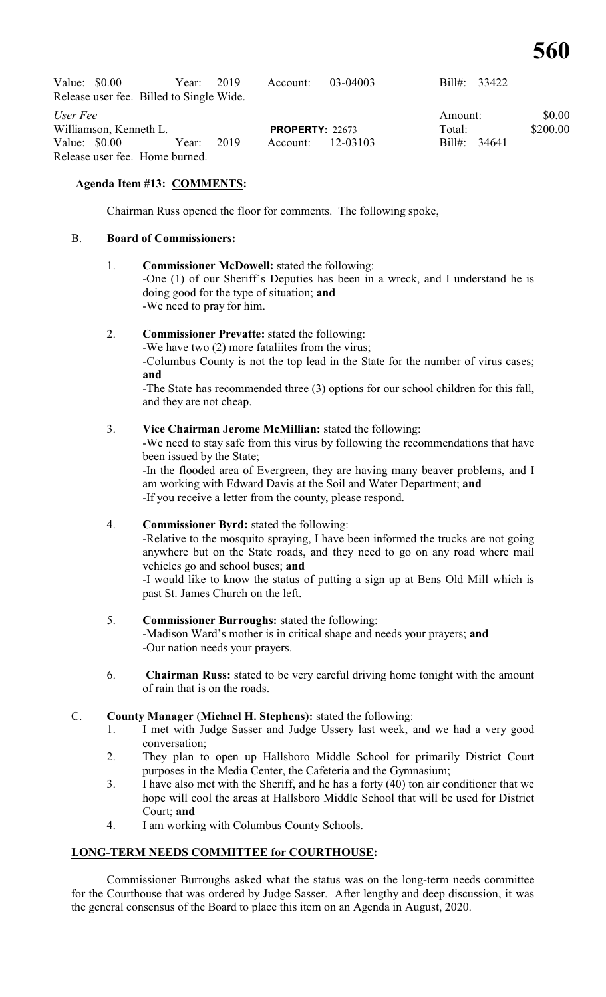| Value: $$0.00$<br>Release user fee. Billed to Single Wide. | Year: 2019 |      | Account:               | 03-04003 | Bill#: 33422      |                    |
|------------------------------------------------------------|------------|------|------------------------|----------|-------------------|--------------------|
| User Fee<br>Williamson, Kenneth L.                         |            |      | <b>PROPERTY: 22673</b> |          | Amount:<br>Total: | \$0.00<br>\$200.00 |
| Value: $$0.00$                                             | Year:      | 2019 | Account: 12-03103      |          | Bill#: 34641      |                    |
| Release user fee. Home burned.                             |            |      |                        |          |                   |                    |

# **Agenda Item #13: COMMENTS:**

Chairman Russ opened the floor for comments. The following spoke,

# B. **Board of Commissioners:**

#### 1. **Commissioner McDowell:** stated the following:

-One (1) of our Sheriff's Deputies has been in a wreck, and I understand he is doing good for the type of situation; **and** -We need to pray for him.

# 2. **Commissioner Prevatte:** stated the following:

-We have two (2) more fataliites from the virus;

-Columbus County is not the top lead in the State for the number of virus cases; **and**

-The State has recommended three (3) options for our school children for this fall, and they are not cheap.

#### 3. **Vice Chairman Jerome McMillian:** stated the following:

-We need to stay safe from this virus by following the recommendations that have been issued by the State;

-In the flooded area of Evergreen, they are having many beaver problems, and I am working with Edward Davis at the Soil and Water Department; **and** -If you receive a letter from the county, please respond.

#### 4. **Commissioner Byrd:** stated the following:

-Relative to the mosquito spraying, I have been informed the trucks are not going anywhere but on the State roads, and they need to go on any road where mail vehicles go and school buses; **and**

-I would like to know the status of putting a sign up at Bens Old Mill which is past St. James Church on the left.

#### 5. **Commissioner Burroughs:** stated the following:

-Madison Ward's mother is in critical shape and needs your prayers; **and** -Our nation needs your prayers.

6. **Chairman Russ:** stated to be very careful driving home tonight with the amount of rain that is on the roads.

#### C. **County Manager** (**Michael H. Stephens):** stated the following:

- 1. I met with Judge Sasser and Judge Ussery last week, and we had a very good conversation;
- 2. They plan to open up Hallsboro Middle School for primarily District Court purposes in the Media Center, the Cafeteria and the Gymnasium;
- 3. I have also met with the Sheriff, and he has a forty (40) ton air conditioner that we hope will cool the areas at Hallsboro Middle School that will be used for District Court; **and**
- 4. I am working with Columbus County Schools.

#### **LONG-TERM NEEDS COMMITTEE for COURTHOUSE:**

Commissioner Burroughs asked what the status was on the long-term needs committee for the Courthouse that was ordered by Judge Sasser. After lengthy and deep discussion, it was the general consensus of the Board to place this item on an Agenda in August, 2020.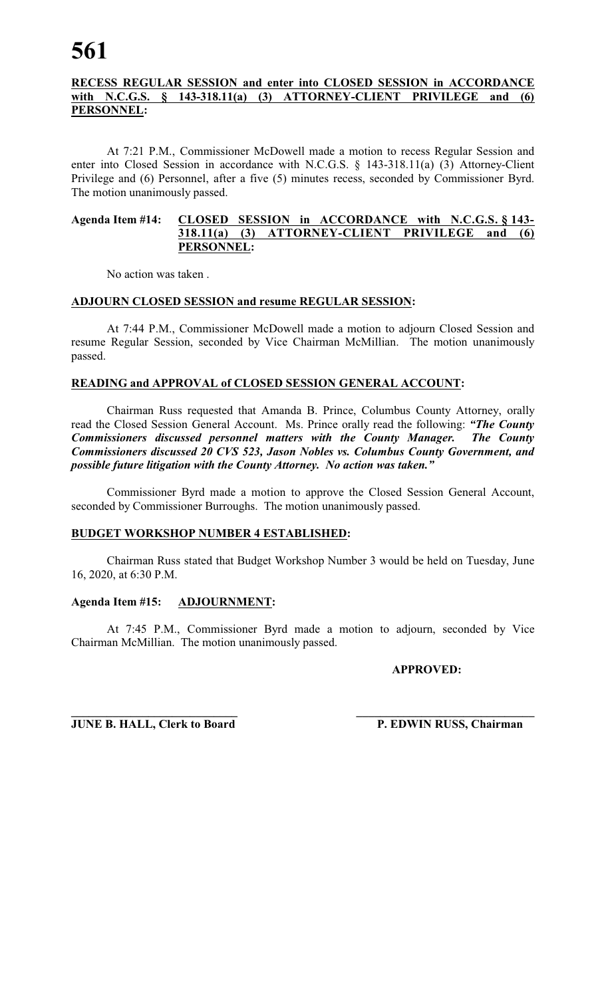# **RECESS REGULAR SESSION and enter into CLOSED SESSION in ACCORDANCE with N.C.G.S. § 143-318.11(a) (3) ATTORNEY-CLIENT PRIVILEGE and (6) PERSONNEL:**

At 7:21 P.M., Commissioner McDowell made a motion to recess Regular Session and enter into Closed Session in accordance with N.C.G.S. § 143-318.11(a) (3) Attorney-Client Privilege and (6) Personnel, after a five (5) minutes recess, seconded by Commissioner Byrd. The motion unanimously passed.

#### **Agenda Item #14: CLOSED SESSION in ACCORDANCE with N.C.G.S. § 143- 318.11(a) (3) ATTORNEY-CLIENT PRIVILEGE and (6) PERSONNEL:**

No action was taken .

# **ADJOURN CLOSED SESSION and resume REGULAR SESSION:**

At 7:44 P.M., Commissioner McDowell made a motion to adjourn Closed Session and resume Regular Session, seconded by Vice Chairman McMillian. The motion unanimously passed.

# **READING and APPROVAL of CLOSED SESSION GENERAL ACCOUNT:**

Chairman Russ requested that Amanda B. Prince, Columbus County Attorney, orally read the Closed Session General Account. Ms. Prince orally read the following: *"The County Commissioners discussed personnel matters with the County Manager. The County Commissioners discussed 20 CVS 523, Jason Nobles vs. Columbus County Government, and possible future litigation with the County Attorney. No action was taken."* 

Commissioner Byrd made a motion to approve the Closed Session General Account, seconded by Commissioner Burroughs. The motion unanimously passed.

# **BUDGET WORKSHOP NUMBER 4 ESTABLISHED:**

Chairman Russ stated that Budget Workshop Number 3 would be held on Tuesday, June 16, 2020, at 6:30 P.M.

#### **Agenda Item #15: ADJOURNMENT:**

At 7:45 P.M., Commissioner Byrd made a motion to adjourn, seconded by Vice Chairman McMillian. The motion unanimously passed.

# **APPROVED:**

**\_\_\_\_\_\_\_\_\_\_\_\_\_\_\_\_\_\_\_\_\_\_\_\_\_\_\_\_ \_\_\_\_\_\_\_\_\_\_\_\_\_\_\_\_\_\_\_\_\_\_\_\_\_\_\_\_\_\_ JUNE B. HALL, Clerk to Board P. EDWIN RUSS, Chairman**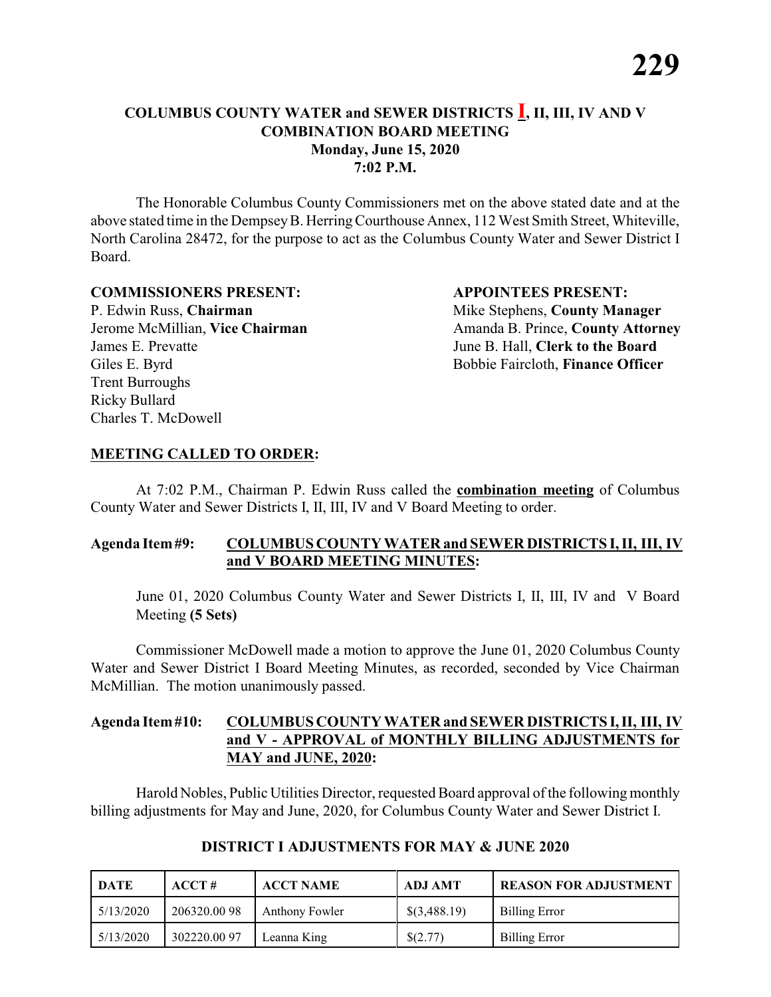The Honorable Columbus County Commissioners met on the above stated date and at the above stated time in the DempseyB. HerringCourthouse Annex, 112 West Smith Street, Whiteville, North Carolina 28472, for the purpose to act as the Columbus County Water and Sewer District I Board.

#### **COMMISSIONERS PRESENT: APPOINTEES PRESENT:**

P. Edwin Russ, **Chairman** Mike Stephens, **County Manager** James E. Prevatte June B. Hall, **Clerk to the Board** Giles E. Byrd **Bobbie Faircloth, Finance Officer** Trent Burroughs Ricky Bullard Charles T. McDowell

Jerome McMillian, **Vice Chairman** Amanda B. Prince, **County Attorney** 

#### **MEETING CALLED TO ORDER:**

At 7:02 P.M., Chairman P. Edwin Russ called the **combination meeting** of Columbus County Water and Sewer Districts I, II, III, IV and V Board Meeting to order.

#### **Agenda Item#9: COLUMBUS COUNTY WATER and SEWER DISTRICTS I, II, III, IV and V BOARD MEETING MINUTES:**

June 01, 2020 Columbus County Water and Sewer Districts I, II, III, IV and V Board Meeting **(5 Sets)**

Commissioner McDowell made a motion to approve the June 01, 2020 Columbus County Water and Sewer District I Board Meeting Minutes, as recorded, seconded by Vice Chairman McMillian. The motion unanimously passed.

# **Agenda Item#10: COLUMBUS COUNTY WATER and SEWER DISTRICTS I,II, III, IV and V - APPROVAL of MONTHLY BILLING ADJUSTMENTS for MAY and JUNE, 2020:**

Harold Nobles, Public Utilities Director, requested Board approval of the following monthly billing adjustments for May and June, 2020, for Columbus County Water and Sewer District I.

| DATE      | $\bf ACCT#$ | <b>ACCT NAME</b> | ADJ AMT      | <b>REASON FOR ADJUSTMENT</b> |
|-----------|-------------|------------------|--------------|------------------------------|
| 5/13/2020 | 206320.0098 | Anthony Fowler   | \$(3,488.19) | <b>Billing Error</b>         |
| 5/13/2020 | 302220.0097 | Leanna King      | \$(2.77)     | <b>Billing Error</b>         |

# **DISTRICT I ADJUSTMENTS FOR MAY & JUNE 2020**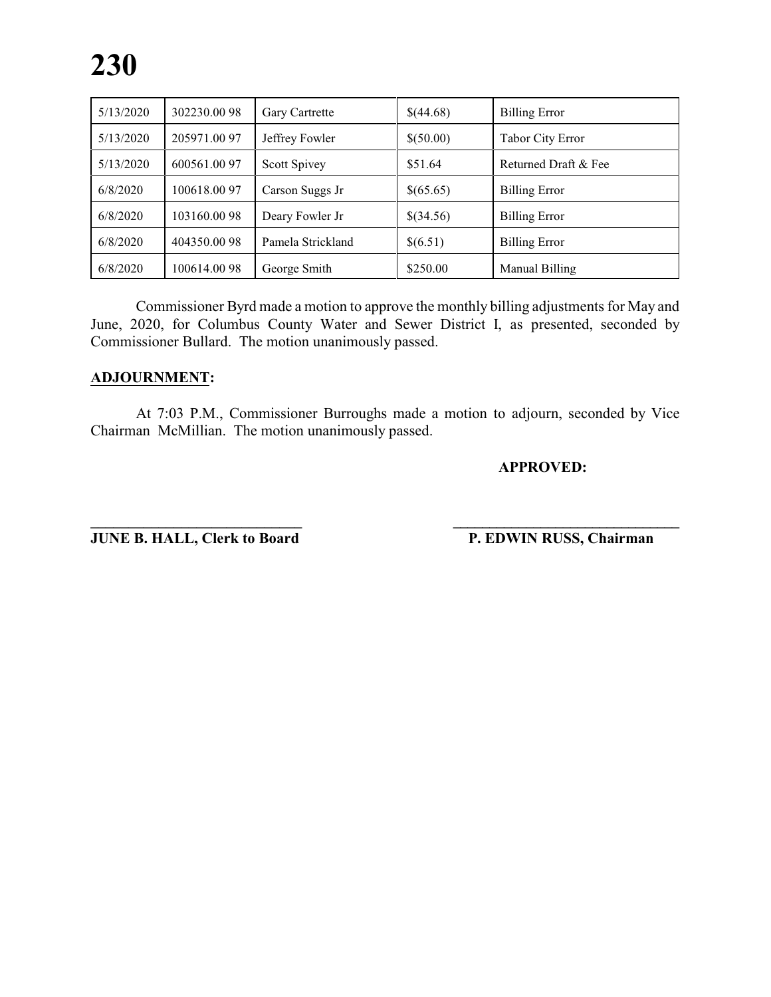| 5/13/2020 | 302230.0098  | Gary Cartrette    | \$(44.68) | <b>Billing Error</b>    |
|-----------|--------------|-------------------|-----------|-------------------------|
| 5/13/2020 | 205971.00 97 | Jeffrey Fowler    | \$(50.00) | <b>Tabor City Error</b> |
| 5/13/2020 | 600561.0097  | Scott Spivey      | \$51.64   | Returned Draft & Fee    |
| 6/8/2020  | 100618.0097  | Carson Suggs Jr   | \$(65.65) | <b>Billing Error</b>    |
| 6/8/2020  | 103160.0098  | Deary Fowler Jr   | \$(34.56) | <b>Billing Error</b>    |
| 6/8/2020  | 404350.0098  | Pamela Strickland | \$(6.51)  | <b>Billing Error</b>    |
| 6/8/2020  | 100614.0098  | George Smith      | \$250.00  | Manual Billing          |

Commissioner Byrd made a motion to approve the monthly billing adjustments for May and June, 2020, for Columbus County Water and Sewer District I, as presented, seconded by Commissioner Bullard. The motion unanimously passed.

# **ADJOURNMENT:**

At 7:03 P.M., Commissioner Burroughs made a motion to adjourn, seconded by Vice Chairman McMillian. The motion unanimously passed.

**\_\_\_\_\_\_\_\_\_\_\_\_\_\_\_\_\_\_\_\_\_\_\_\_\_\_\_\_ \_\_\_\_\_\_\_\_\_\_\_\_\_\_\_\_\_\_\_\_\_\_\_\_\_\_\_\_\_\_\_**

#### **APPROVED:**

**JUNE B. HALL, Clerk to Board P. EDWIN RUSS, Chairman**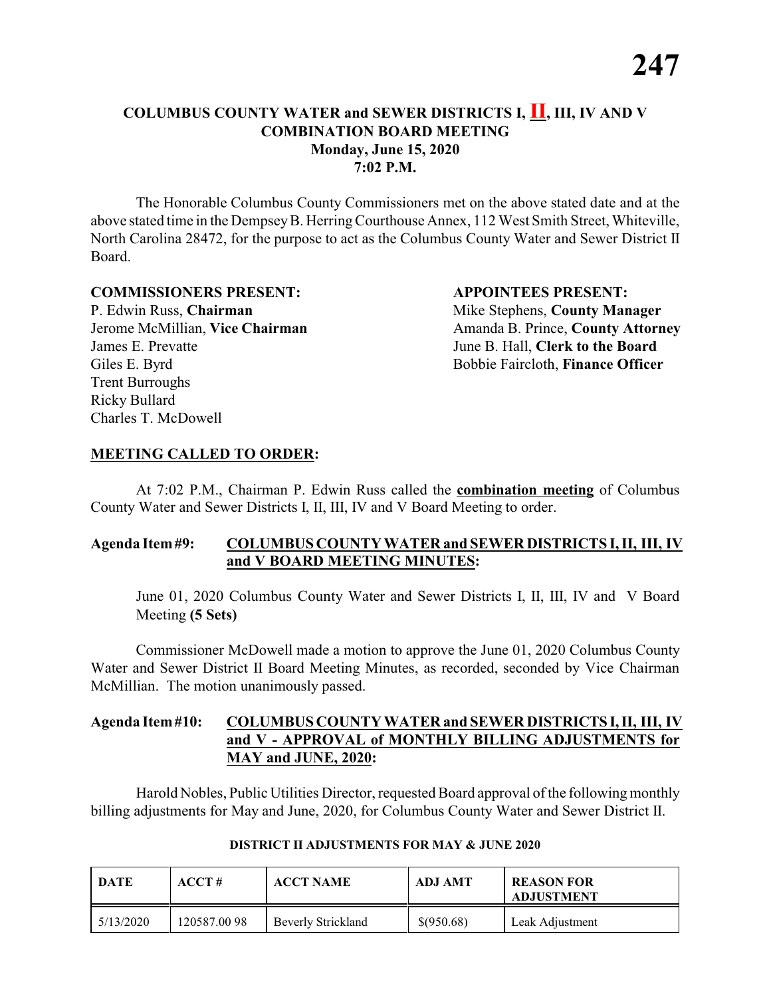The Honorable Columbus County Commissioners met on the above stated date and at the above stated time in the DempseyB. HerringCourthouse Annex, 112 West Smith Street, Whiteville, North Carolina 28472, for the purpose to act as the Columbus County Water and Sewer District II Board.

#### **COMMISSIONERS PRESENT: APPOINTEES PRESENT:**

P. Edwin Russ, **Chairman** Mike Stephens, **County Manager** James E. Prevatte June B. Hall, **Clerk to the Board** Giles E. Byrd **Bobbie Faircloth, Finance Officer** Trent Burroughs Ricky Bullard Charles T. McDowell

Jerome McMillian, **Vice Chairman** Amanda B. Prince, **County Attorney** 

#### **MEETING CALLED TO ORDER:**

At 7:02 P.M., Chairman P. Edwin Russ called the **combination meeting** of Columbus County Water and Sewer Districts I, II, III, IV and V Board Meeting to order.

#### **Agenda Item#9: COLUMBUS COUNTY WATER and SEWER DISTRICTS I, II, III, IV and V BOARD MEETING MINUTES:**

June 01, 2020 Columbus County Water and Sewer Districts I, II, III, IV and V Board Meeting **(5 Sets)**

Commissioner McDowell made a motion to approve the June 01, 2020 Columbus County Water and Sewer District II Board Meeting Minutes, as recorded, seconded by Vice Chairman McMillian. The motion unanimously passed.

# **Agenda Item#10: COLUMBUS COUNTY WATER and SEWER DISTRICTS I,II, III, IV and V - APPROVAL of MONTHLY BILLING ADJUSTMENTS for MAY and JUNE, 2020:**

Harold Nobles, Public Utilities Director, requested Board approval of the following monthly billing adjustments for May and June, 2020, for Columbus County Water and Sewer District II.

| DATE      | $\bf ACCT#$  | <b>ACCT NAME</b>   | <b>ADJ AMT</b> | <b>REASON FOR</b><br><b>ADJUSTMENT</b> |
|-----------|--------------|--------------------|----------------|----------------------------------------|
| 5/13/2020 | 120587.00 98 | Beverly Strickland | \$(950.68)     | Leak Adjustment                        |

#### **DISTRICT II ADJUSTMENTS FOR MAY & JUNE 2020**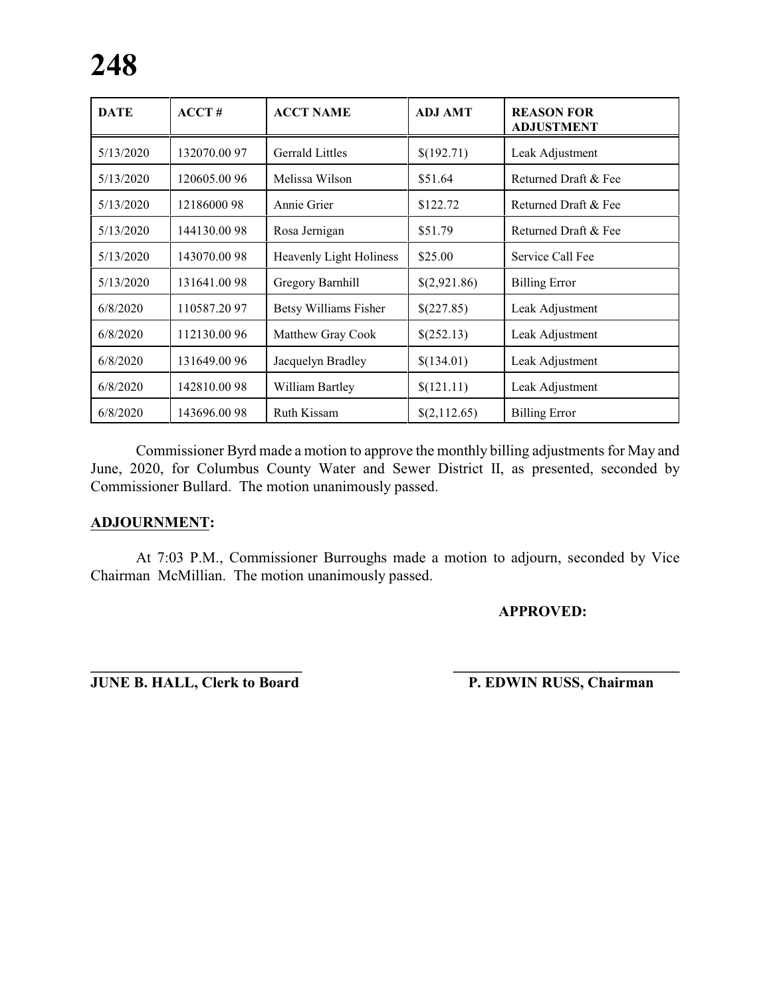| <b>DATE</b> | ACCT#       | <b>ACCT NAME</b>               | <b>ADJ AMT</b> | <b>REASON FOR</b><br><b>ADJUSTMENT</b> |
|-------------|-------------|--------------------------------|----------------|----------------------------------------|
| 5/13/2020   | 132070.0097 | <b>Gerrald Littles</b>         | \$(192.71)     | Leak Adjustment                        |
| 5/13/2020   | 120605.0096 | Melissa Wilson                 | \$51.64        | Returned Draft & Fee                   |
| 5/13/2020   | 1218600098  | Annie Grier                    | \$122.72       | Returned Draft & Fee                   |
| 5/13/2020   | 144130.0098 | Rosa Jernigan                  | \$51.79        | Returned Draft & Fee                   |
| 5/13/2020   | 143070.0098 | <b>Heavenly Light Holiness</b> | \$25.00        | Service Call Fee                       |
| 5/13/2020   | 131641.0098 | Gregory Barnhill               | \$(2,921.86)   | <b>Billing Error</b>                   |
| 6/8/2020    | 110587.2097 | <b>Betsy Williams Fisher</b>   | \$(227.85)     | Leak Adjustment                        |
| 6/8/2020    | 112130.0096 | Matthew Gray Cook              | \$(252.13)     | Leak Adjustment                        |
| 6/8/2020    | 131649.0096 | Jacquelyn Bradley              | \$(134.01)     | Leak Adjustment                        |
| 6/8/2020    | 142810.0098 | William Bartley                | \$(121.11)     | Leak Adjustment                        |
| 6/8/2020    | 143696.0098 | <b>Ruth Kissam</b>             | \$(2,112.65)   | <b>Billing Error</b>                   |

Commissioner Byrd made a motion to approve the monthly billing adjustments for May and June, 2020, for Columbus County Water and Sewer District II, as presented, seconded by Commissioner Bullard. The motion unanimously passed.

# **ADJOURNMENT:**

At 7:03 P.M., Commissioner Burroughs made a motion to adjourn, seconded by Vice Chairman McMillian. The motion unanimously passed.

# **APPROVED:**

**JUNE B. HALL, Clerk to Board P. EDWIN RUSS, Chairman** 

**\_\_\_\_\_\_\_\_\_\_\_\_\_\_\_\_\_\_\_\_\_\_\_\_\_\_\_\_ \_\_\_\_\_\_\_\_\_\_\_\_\_\_\_\_\_\_\_\_\_\_\_\_\_\_\_\_\_\_\_**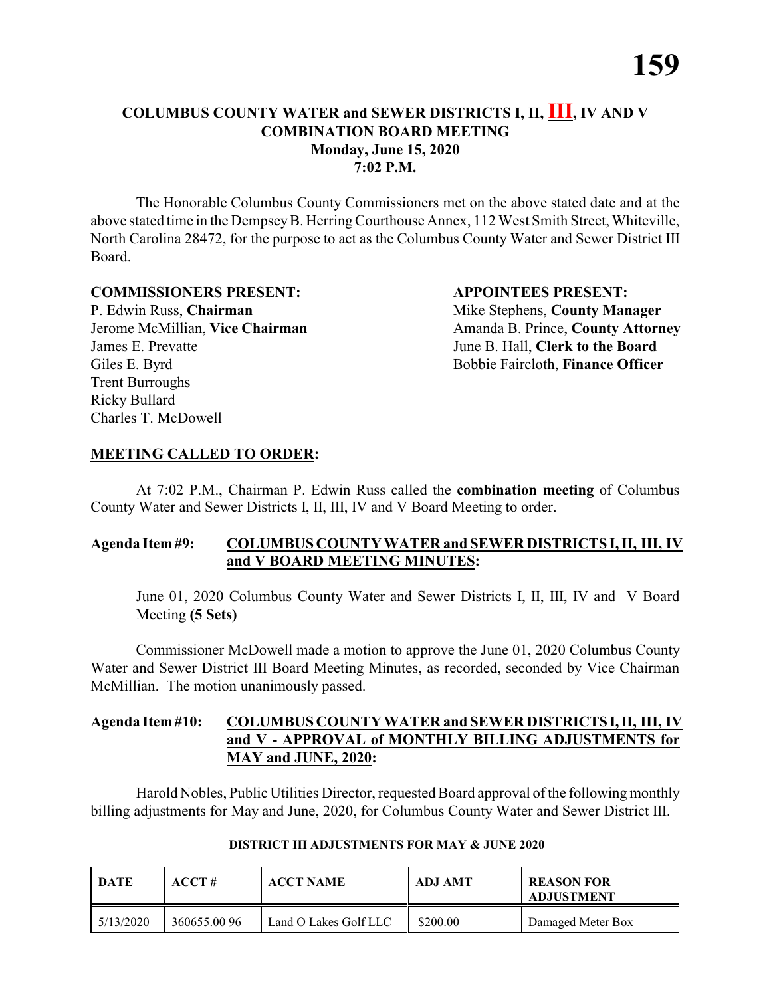The Honorable Columbus County Commissioners met on the above stated date and at the above stated time in the DempseyB. HerringCourthouse Annex, 112 West Smith Street, Whiteville, North Carolina 28472, for the purpose to act as the Columbus County Water and Sewer District III Board.

#### **COMMISSIONERS PRESENT: APPOINTEES PRESENT:**

P. Edwin Russ, **Chairman** Mike Stephens, **County Manager** James E. Prevatte June B. Hall, **Clerk to the Board** Giles E. Byrd **Bobbie Faircloth, Finance Officer** Trent Burroughs Ricky Bullard Charles T. McDowell

Jerome McMillian, **Vice Chairman** Amanda B. Prince, **County Attorney** 

# **MEETING CALLED TO ORDER:**

At 7:02 P.M., Chairman P. Edwin Russ called the **combination meeting** of Columbus County Water and Sewer Districts I, II, III, IV and V Board Meeting to order.

# **Agenda Item#9: COLUMBUS COUNTY WATER and SEWER DISTRICTS I, II, III, IV and V BOARD MEETING MINUTES:**

June 01, 2020 Columbus County Water and Sewer Districts I, II, III, IV and V Board Meeting **(5 Sets)**

Commissioner McDowell made a motion to approve the June 01, 2020 Columbus County Water and Sewer District III Board Meeting Minutes, as recorded, seconded by Vice Chairman McMillian. The motion unanimously passed.

# **Agenda Item#10: COLUMBUS COUNTY WATER and SEWER DISTRICTS I,II, III, IV and V - APPROVAL of MONTHLY BILLING ADJUSTMENTS for MAY and JUNE, 2020:**

Harold Nobles, Public Utilities Director, requested Board approval of the following monthly billing adjustments for May and June, 2020, for Columbus County Water and Sewer District III.

| DATE      | ACCT#       | <b>ACCT NAME</b>      | <b>ADJ AMT</b> | <b>REASON FOR</b><br><b>ADJUSTMENT</b> |
|-----------|-------------|-----------------------|----------------|----------------------------------------|
| 5/13/2020 | 360655.0096 | Land O Lakes Golf LLC | \$200.00       | Damaged Meter Box                      |

# **DISTRICT III ADJUSTMENTS FOR MAY & JUNE 2020**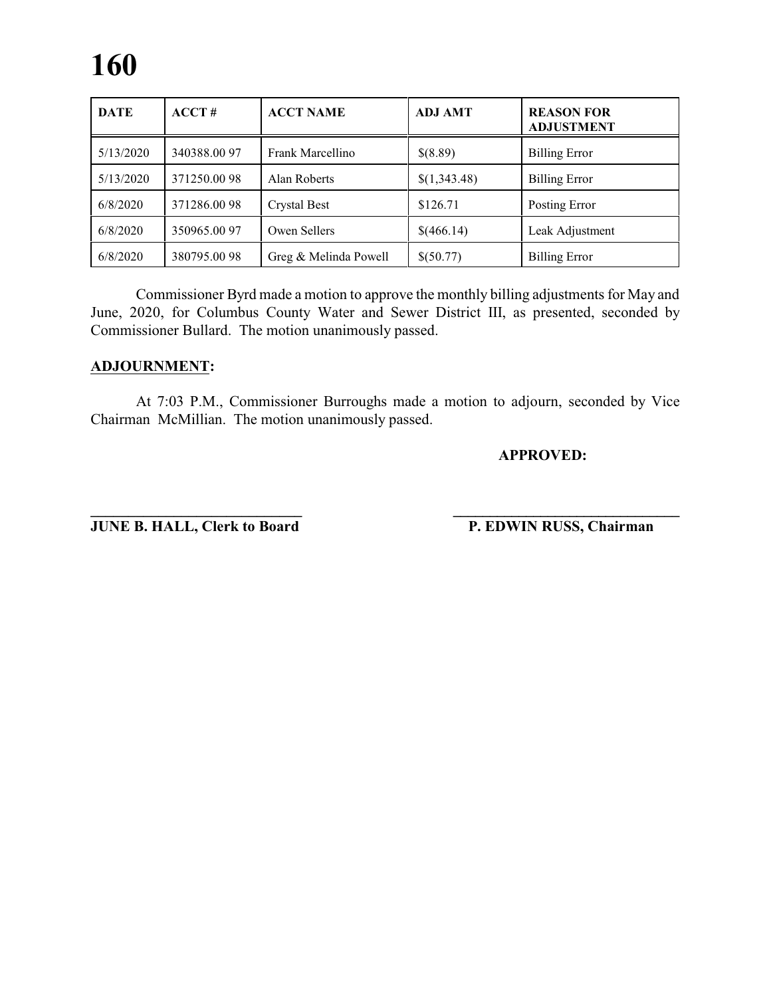# **160**

| <b>DATE</b> | ACCT#       | <b>ACCT NAME</b>      | <b>ADJ AMT</b> | <b>REASON FOR</b><br><b>ADJUSTMENT</b> |
|-------------|-------------|-----------------------|----------------|----------------------------------------|
| 5/13/2020   | 340388.0097 | Frank Marcellino      | \$(8.89)       | <b>Billing Error</b>                   |
| 5/13/2020   | 371250.0098 | Alan Roberts          | \$(1,343.48)   | <b>Billing Error</b>                   |
| 6/8/2020    | 371286.0098 | Crystal Best          | \$126.71       | Posting Error                          |
| 6/8/2020    | 350965.0097 | Owen Sellers          | \$(466.14)     | Leak Adjustment                        |
| 6/8/2020    | 380795.0098 | Greg & Melinda Powell | \$(50.77)      | <b>Billing Error</b>                   |

Commissioner Byrd made a motion to approve the monthly billing adjustments for May and June, 2020, for Columbus County Water and Sewer District III, as presented, seconded by Commissioner Bullard. The motion unanimously passed.

# **ADJOURNMENT:**

At 7:03 P.M., Commissioner Burroughs made a motion to adjourn, seconded by Vice Chairman McMillian. The motion unanimously passed.

#### **APPROVED:**

**\_\_\_\_\_\_\_\_\_\_\_\_\_\_\_\_\_\_\_\_\_\_\_\_\_\_\_\_ \_\_\_\_\_\_\_\_\_\_\_\_\_\_\_\_\_\_\_\_\_\_\_\_\_\_\_\_\_\_\_ JUNE B. HALL, Clerk to Board P. EDWIN RUSS, Chairman**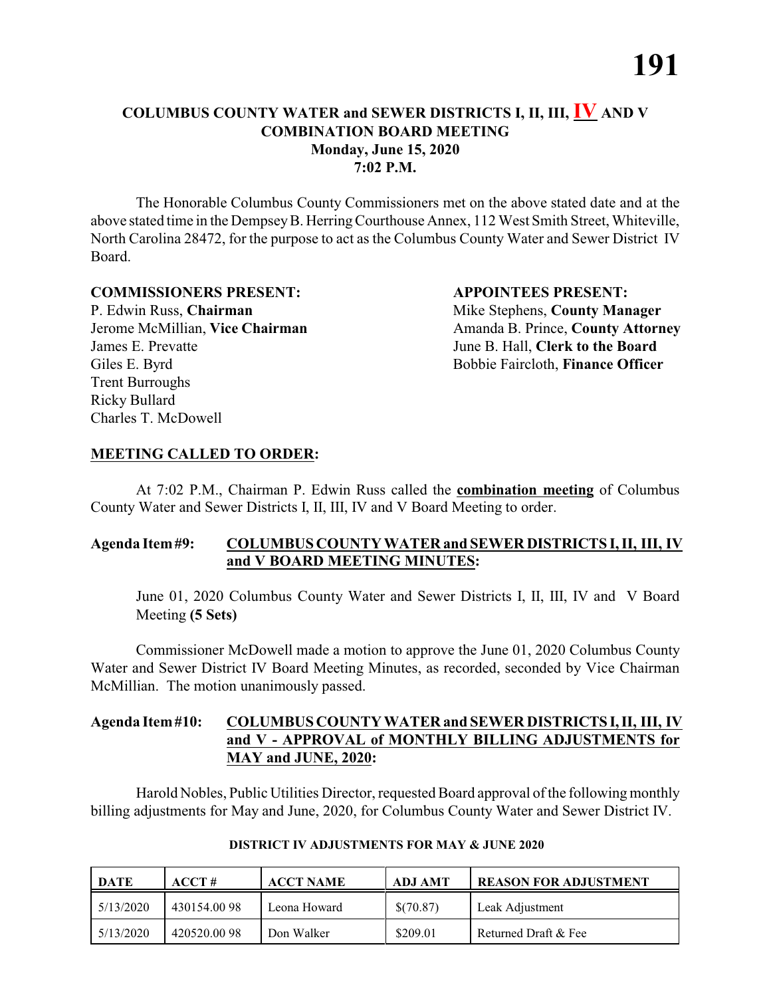The Honorable Columbus County Commissioners met on the above stated date and at the above stated time in the DempseyB. HerringCourthouse Annex, 112 West Smith Street, Whiteville, North Carolina 28472, for the purpose to act as the Columbus County Water and Sewer District IV Board.

#### **COMMISSIONERS PRESENT: APPOINTEES PRESENT:**

P. Edwin Russ, **Chairman** Mike Stephens, **County Manager** James E. Prevatte June B. Hall, **Clerk to the Board** Giles E. Byrd **Bobbie Faircloth, Finance Officer** Trent Burroughs Ricky Bullard Charles T. McDowell

Jerome McMillian, **Vice Chairman** Amanda B. Prince, **County Attorney** 

#### **MEETING CALLED TO ORDER:**

At 7:02 P.M., Chairman P. Edwin Russ called the **combination meeting** of Columbus County Water and Sewer Districts I, II, III, IV and V Board Meeting to order.

# **Agenda Item#9: COLUMBUS COUNTY WATER and SEWER DISTRICTS I, II, III, IV and V BOARD MEETING MINUTES:**

June 01, 2020 Columbus County Water and Sewer Districts I, II, III, IV and V Board Meeting **(5 Sets)**

Commissioner McDowell made a motion to approve the June 01, 2020 Columbus County Water and Sewer District IV Board Meeting Minutes, as recorded, seconded by Vice Chairman McMillian. The motion unanimously passed.

# **Agenda Item#10: COLUMBUS COUNTY WATER and SEWER DISTRICTS I,II, III, IV and V - APPROVAL of MONTHLY BILLING ADJUSTMENTS for MAY and JUNE, 2020:**

Harold Nobles, Public Utilities Director, requested Board approval of the following monthly billing adjustments for May and June, 2020, for Columbus County Water and Sewer District IV.

| <b>DATE</b> | ACCT#       | <b>ACCT NAME</b> | ADJ AMT   | <b>REASON FOR ADJUSTMENT</b> |
|-------------|-------------|------------------|-----------|------------------------------|
| 5/13/2020   | 430154.0098 | Leona Howard     | \$(70.87) | Leak Adjustment              |
| 5/13/2020   | 420520.0098 | Don Walker       | \$209.01  | Returned Draft & Fee         |

#### **DISTRICT IV ADJUSTMENTS FOR MAY & JUNE 2020**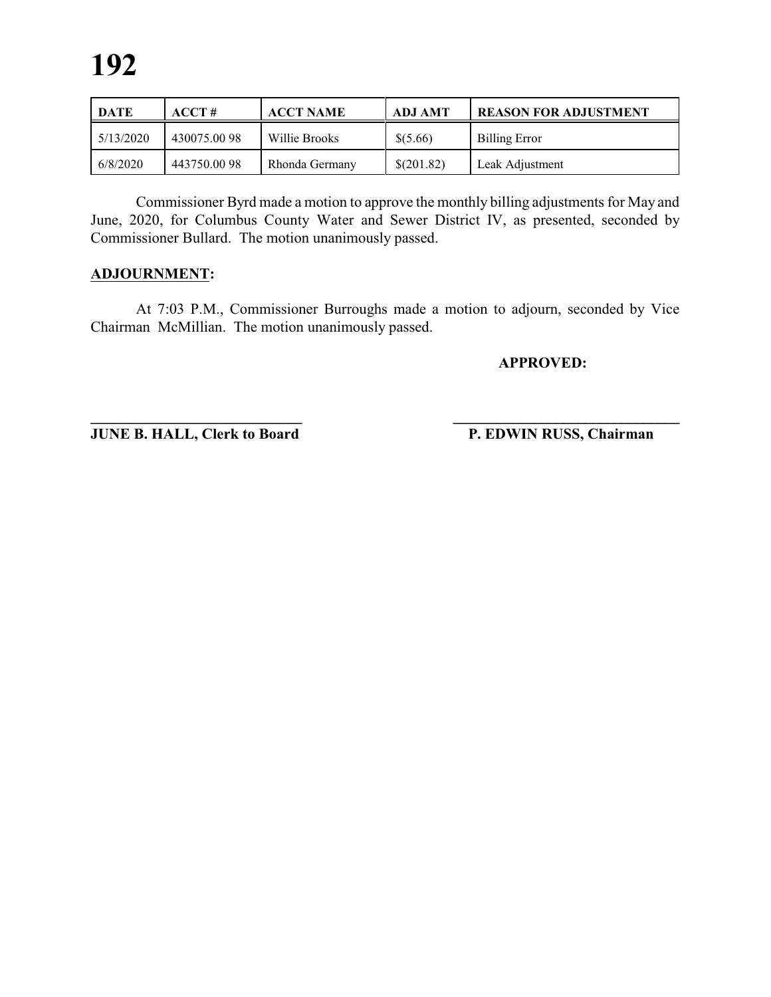| <b>DATE</b> | ACCT#       | <b>ACCT NAME</b> | ADJ AMT    | <b>REASON FOR ADJUSTMENT</b> |
|-------------|-------------|------------------|------------|------------------------------|
| 5/13/2020   | 430075.0098 | Willie Brooks    | \$ (5.66)  | <b>Billing Error</b>         |
| 6/8/2020    | 443750.0098 | Rhonda Germany   | \$(201.82) | Leak Adjustment              |

Commissioner Byrd made a motion to approve the monthly billing adjustments for May and June, 2020, for Columbus County Water and Sewer District IV, as presented, seconded by Commissioner Bullard. The motion unanimously passed.

# **ADJOURNMENT:**

At 7:03 P.M., Commissioner Burroughs made a motion to adjourn, seconded by Vice Chairman McMillian. The motion unanimously passed.

**APPROVED:**

**JUNE B. HALL, Clerk to Board P. EDWIN RUSS, Chairman** 

**\_\_\_\_\_\_\_\_\_\_\_\_\_\_\_\_\_\_\_\_\_\_\_\_\_\_\_\_ \_\_\_\_\_\_\_\_\_\_\_\_\_\_\_\_\_\_\_\_\_\_\_\_\_\_\_\_\_\_\_**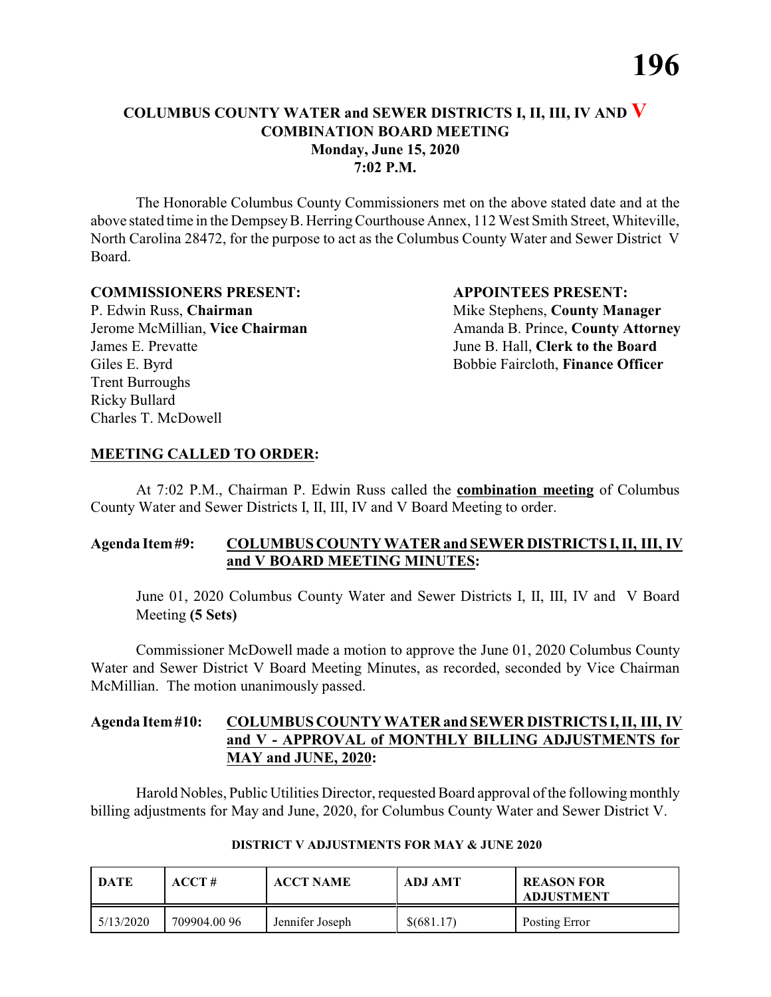The Honorable Columbus County Commissioners met on the above stated date and at the above stated time in the DempseyB. HerringCourthouse Annex, 112 West Smith Street, Whiteville, North Carolina 28472, for the purpose to act as the Columbus County Water and Sewer District V Board.

#### **COMMISSIONERS PRESENT: APPOINTEES PRESENT:**

P. Edwin Russ, **Chairman** Mike Stephens, **County Manager** James E. Prevatte June B. Hall, **Clerk to the Board** Giles E. Byrd **Bobbie Faircloth, Finance Officer** Trent Burroughs Ricky Bullard Charles T. McDowell

Jerome McMillian, **Vice Chairman** Amanda B. Prince, **County Attorney** 

#### **MEETING CALLED TO ORDER:**

At 7:02 P.M., Chairman P. Edwin Russ called the **combination meeting** of Columbus County Water and Sewer Districts I, II, III, IV and V Board Meeting to order.

# **Agenda Item#9: COLUMBUS COUNTY WATER and SEWER DISTRICTS I, II, III, IV and V BOARD MEETING MINUTES:**

June 01, 2020 Columbus County Water and Sewer Districts I, II, III, IV and V Board Meeting **(5 Sets)**

Commissioner McDowell made a motion to approve the June 01, 2020 Columbus County Water and Sewer District V Board Meeting Minutes, as recorded, seconded by Vice Chairman McMillian. The motion unanimously passed.

# **Agenda Item#10: COLUMBUS COUNTY WATER and SEWER DISTRICTS I,II, III, IV and V - APPROVAL of MONTHLY BILLING ADJUSTMENTS for MAY and JUNE, 2020:**

Harold Nobles, Public Utilities Director, requested Board approval of the following monthly billing adjustments for May and June, 2020, for Columbus County Water and Sewer District V.

| DATE      | ACCT#        | <b>ACCT NAME</b> | ADJ AMT    | <b>REASON FOR</b><br><b>ADJUSTMENT</b> |
|-----------|--------------|------------------|------------|----------------------------------------|
| 5/13/2020 | 709904.00 96 | Jennifer Joseph  | \$(681.17) | Posting Error                          |

#### **DISTRICT V ADJUSTMENTS FOR MAY & JUNE 2020**